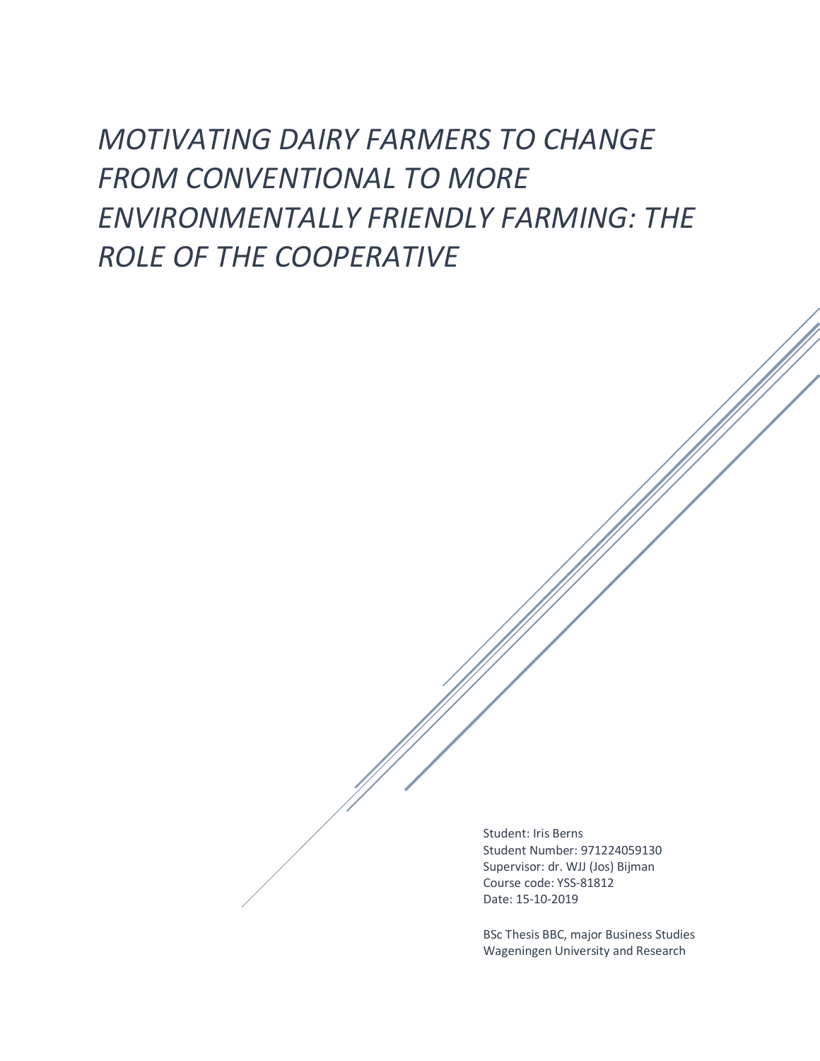# *MOTIVATING DAIRY FARMERS TO CHANGE FROM CONVENTIONAL TO MORE ENVIRONMENTALLY FRIENDLY FARMING: THE ROLE OF THE COOPERATIVE*

Student: Iris Berns Student Number: 971224059130 Supervisor: dr. WJJ (Jos) Bijman Course code: YSS-81812 Date: 15-10-2019

BSc Thesis BBC, major Business Studies Wageningen University and Research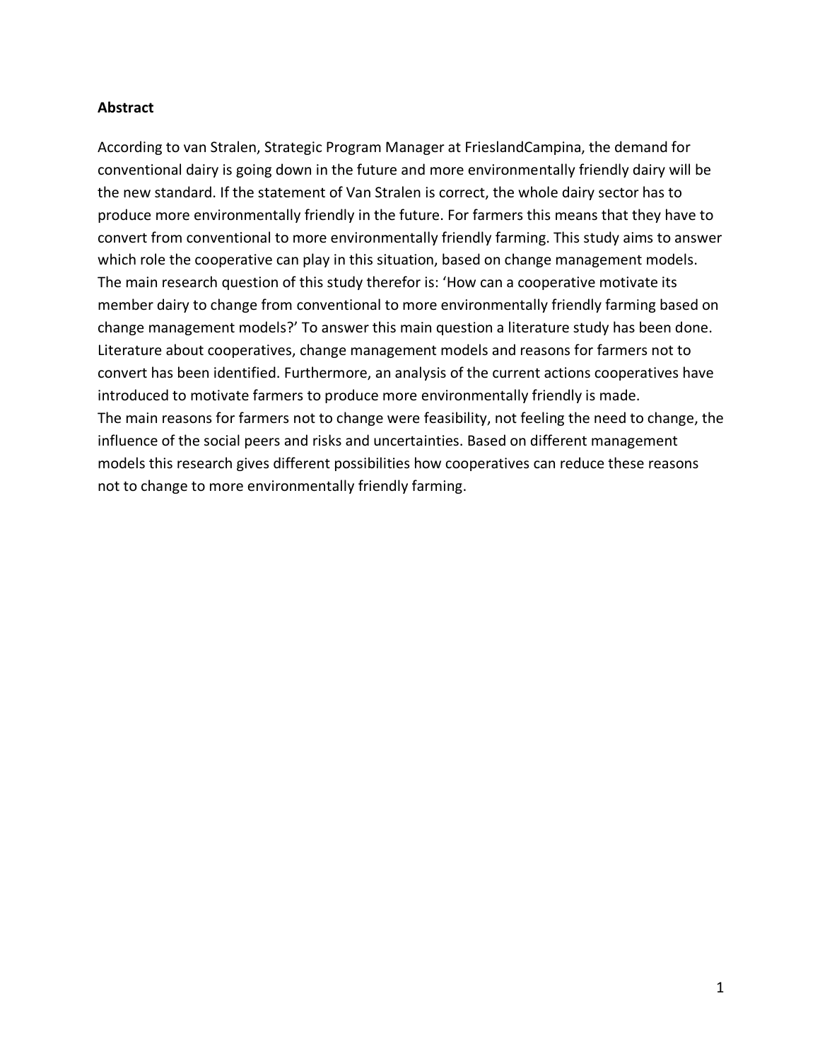## **Abstract**

According to van Stralen, Strategic Program Manager at FrieslandCampina, the demand for conventional dairy is going down in the future and more environmentally friendly dairy will be the new standard. If the statement of Van Stralen is correct, the whole dairy sector has to produce more environmentally friendly in the future. For farmers this means that they have to convert from conventional to more environmentally friendly farming. This study aims to answer which role the cooperative can play in this situation, based on change management models. The main research question of this study therefor is: 'How can a cooperative motivate its member dairy to change from conventional to more environmentally friendly farming based on change management models?' To answer this main question a literature study has been done. Literature about cooperatives, change management models and reasons for farmers not to convert has been identified. Furthermore, an analysis of the current actions cooperatives have introduced to motivate farmers to produce more environmentally friendly is made. The main reasons for farmers not to change were feasibility, not feeling the need to change, the influence of the social peers and risks and uncertainties. Based on different management models this research gives different possibilities how cooperatives can reduce these reasons not to change to more environmentally friendly farming.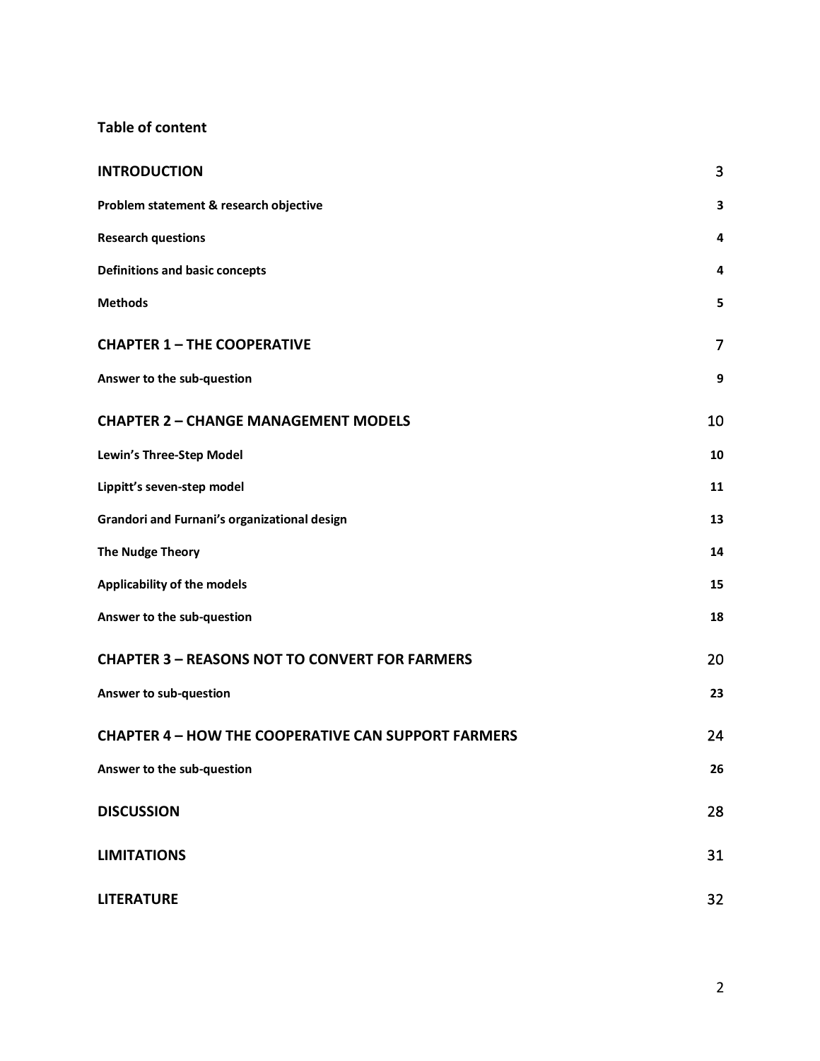# **Table of content**

| <b>INTRODUCTION</b>                                        | 3              |
|------------------------------------------------------------|----------------|
| Problem statement & research objective                     | 3              |
| <b>Research questions</b>                                  | 4              |
| <b>Definitions and basic concepts</b>                      | 4              |
| <b>Methods</b>                                             | 5              |
| <b>CHAPTER 1-THE COOPERATIVE</b>                           | $\overline{7}$ |
| Answer to the sub-question                                 | 9              |
| <b>CHAPTER 2 - CHANGE MANAGEMENT MODELS</b>                | 10             |
| Lewin's Three-Step Model                                   | 10             |
| Lippitt's seven-step model                                 | 11             |
| Grandori and Furnani's organizational design               | 13             |
| <b>The Nudge Theory</b>                                    | 14             |
| Applicability of the models                                | 15             |
| Answer to the sub-question                                 | 18             |
| <b>CHAPTER 3 - REASONS NOT TO CONVERT FOR FARMERS</b>      | 20             |
| Answer to sub-question                                     | 23             |
| <b>CHAPTER 4 - HOW THE COOPERATIVE CAN SUPPORT FARMERS</b> | 24             |
| Answer to the sub-question                                 | 26             |
| <b>DISCUSSION</b>                                          | 28             |
| <b>LIMITATIONS</b>                                         | 31             |
| <b>LITERATURE</b>                                          | 32             |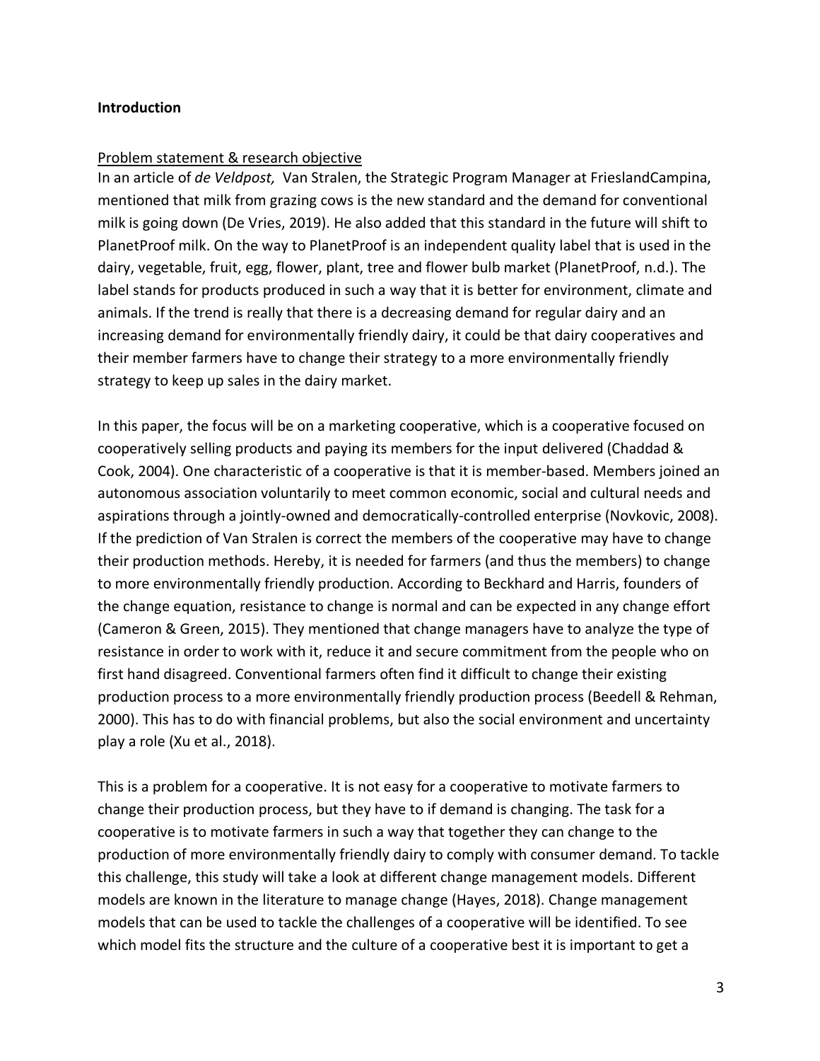#### **Introduction**

#### Problem statement & research objective

In an article of *de Veldpost,* Van Stralen, the Strategic Program Manager at FrieslandCampina, mentioned that milk from grazing cows is the new standard and the demand for conventional milk is going down (De Vries, 2019). He also added that this standard in the future will shift to PlanetProof milk. On the way to PlanetProof is an independent quality label that is used in the dairy, vegetable, fruit, egg, flower, plant, tree and flower bulb market (PlanetProof, n.d.). The label stands for products produced in such a way that it is better for environment, climate and animals. If the trend is really that there is a decreasing demand for regular dairy and an increasing demand for environmentally friendly dairy, it could be that dairy cooperatives and their member farmers have to change their strategy to a more environmentally friendly strategy to keep up sales in the dairy market.

In this paper, the focus will be on a marketing cooperative, which is a cooperative focused on cooperatively selling products and paying its members for the input delivered (Chaddad & Cook, 2004). One characteristic of a cooperative is that it is member-based. Members joined an autonomous association voluntarily to meet common economic, social and cultural needs and aspirations through a jointly-owned and democratically-controlled enterprise (Novkovic, 2008). If the prediction of Van Stralen is correct the members of the cooperative may have to change their production methods. Hereby, it is needed for farmers (and thus the members) to change to more environmentally friendly production. According to Beckhard and Harris, founders of the change equation, resistance to change is normal and can be expected in any change effort (Cameron & Green, 2015). They mentioned that change managers have to analyze the type of resistance in order to work with it, reduce it and secure commitment from the people who on first hand disagreed. Conventional farmers often find it difficult to change their existing production process to a more environmentally friendly production process (Beedell & Rehman, 2000). This has to do with financial problems, but also the social environment and uncertainty play a role (Xu et al., 2018).

This is a problem for a cooperative. It is not easy for a cooperative to motivate farmers to change their production process, but they have to if demand is changing. The task for a cooperative is to motivate farmers in such a way that together they can change to the production of more environmentally friendly dairy to comply with consumer demand. To tackle this challenge, this study will take a look at different change management models. Different models are known in the literature to manage change (Hayes, 2018). Change management models that can be used to tackle the challenges of a cooperative will be identified. To see which model fits the structure and the culture of a cooperative best it is important to get a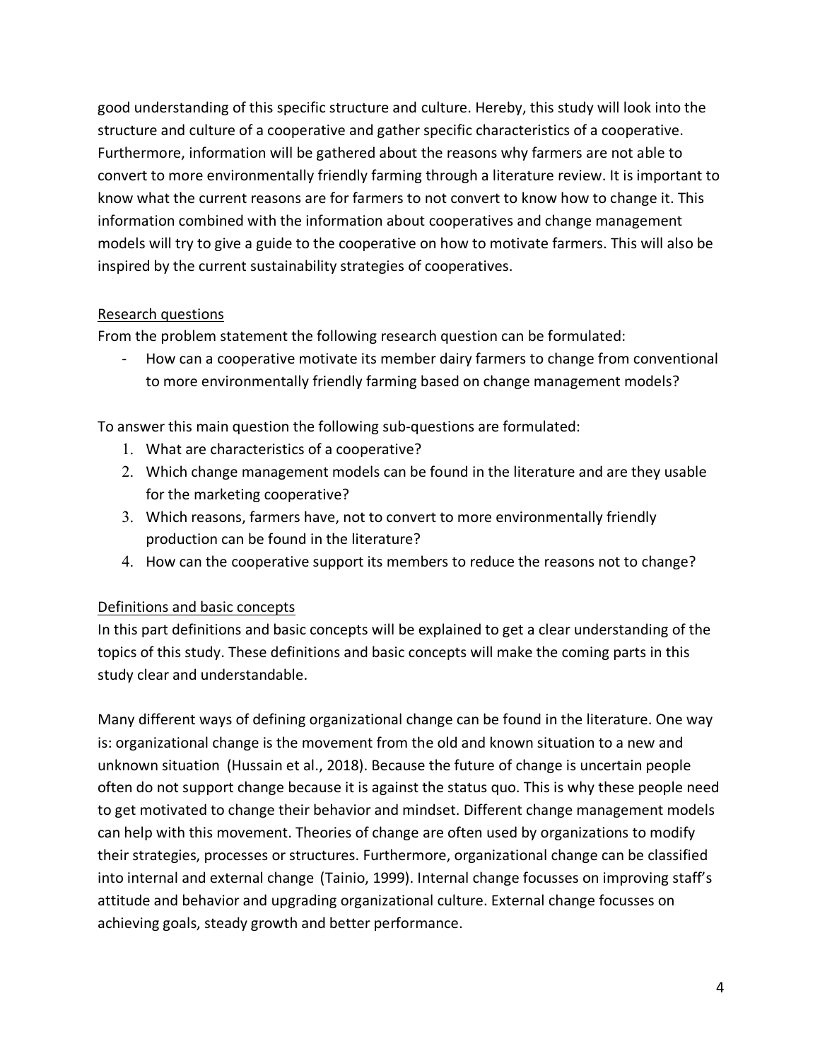good understanding of this specific structure and culture. Hereby, this study will look into the structure and culture of a cooperative and gather specific characteristics of a cooperative. Furthermore, information will be gathered about the reasons why farmers are not able to convert to more environmentally friendly farming through a literature review. It is important to know what the current reasons are for farmers to not convert to know how to change it. This information combined with the information about cooperatives and change management models will try to give a guide to the cooperative on how to motivate farmers. This will also be inspired by the current sustainability strategies of cooperatives.

## Research questions

From the problem statement the following research question can be formulated:

- How can a cooperative motivate its member dairy farmers to change from conventional to more environmentally friendly farming based on change management models?

To answer this main question the following sub-questions are formulated:

- 1. What are characteristics of a cooperative?
- 2. Which change management models can be found in the literature and are they usable for the marketing cooperative?
- 3. Which reasons, farmers have, not to convert to more environmentally friendly production can be found in the literature?
- 4. How can the cooperative support its members to reduce the reasons not to change?

# Definitions and basic concepts

In this part definitions and basic concepts will be explained to get a clear understanding of the topics of this study. These definitions and basic concepts will make the coming parts in this study clear and understandable.

Many different ways of defining organizational change can be found in the literature. One way is: organizational change is the movement from the old and known situation to a new and unknown situation (Hussain et al., 2018). Because the future of change is uncertain people often do not support change because it is against the status quo. This is why these people need to get motivated to change their behavior and mindset. Different change management models can help with this movement. Theories of change are often used by organizations to modify their strategies, processes or structures. Furthermore, organizational change can be classified into internal and external change (Tainio, 1999). Internal change focusses on improving staff's attitude and behavior and upgrading organizational culture. External change focusses on achieving goals, steady growth and better performance.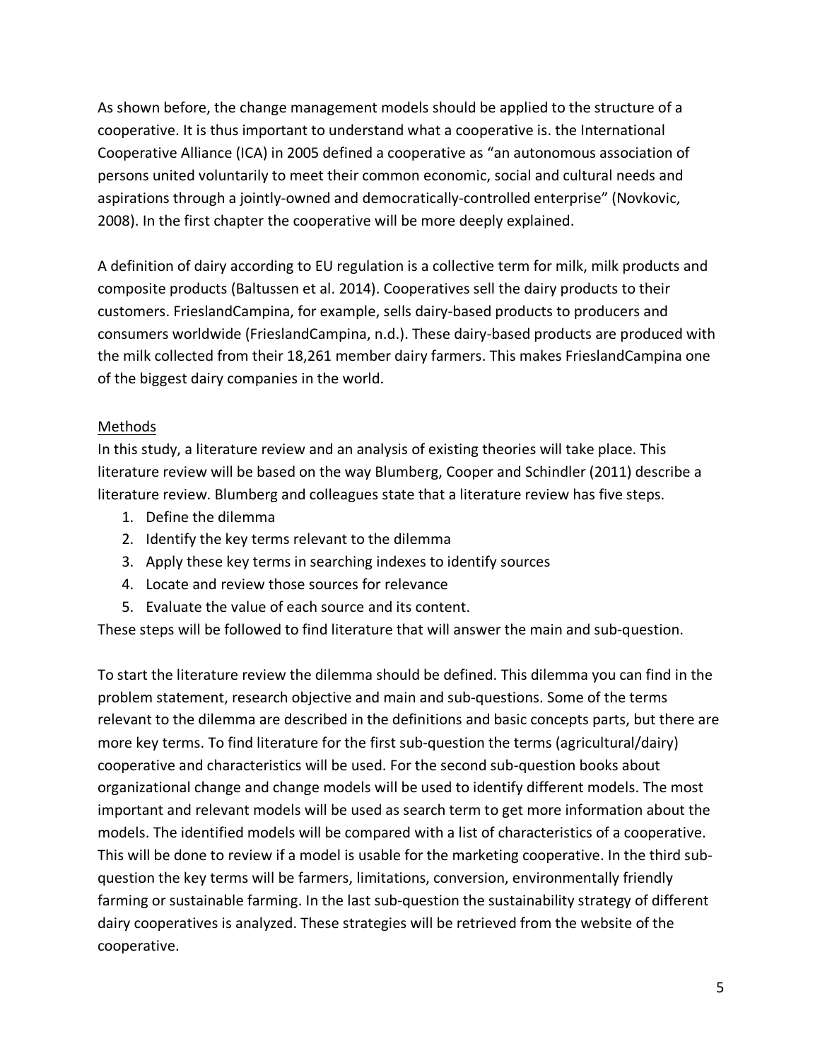As shown before, the change management models should be applied to the structure of a cooperative. It is thus important to understand what a cooperative is. the International Cooperative Alliance (ICA) in 2005 defined a cooperative as "an autonomous association of persons united voluntarily to meet their common economic, social and cultural needs and aspirations through a jointly-owned and democratically-controlled enterprise" (Novkovic, 2008). In the first chapter the cooperative will be more deeply explained.

A definition of dairy according to EU regulation is a collective term for milk, milk products and composite products (Baltussen et al. 2014). Cooperatives sell the dairy products to their customers. FrieslandCampina, for example, sells dairy-based products to producers and consumers worldwide (FrieslandCampina, n.d.). These dairy-based products are produced with the milk collected from their 18,261 member dairy farmers. This makes FrieslandCampina one of the biggest dairy companies in the world.

## Methods

In this study, a literature review and an analysis of existing theories will take place. This literature review will be based on the way Blumberg, Cooper and Schindler (2011) describe a literature review. Blumberg and colleagues state that a literature review has five steps.

- 1. Define the dilemma
- 2. Identify the key terms relevant to the dilemma
- 3. Apply these key terms in searching indexes to identify sources
- 4. Locate and review those sources for relevance
- 5. Evaluate the value of each source and its content.

These steps will be followed to find literature that will answer the main and sub-question.

To start the literature review the dilemma should be defined. This dilemma you can find in the problem statement, research objective and main and sub-questions. Some of the terms relevant to the dilemma are described in the definitions and basic concepts parts, but there are more key terms. To find literature for the first sub-question the terms (agricultural/dairy) cooperative and characteristics will be used. For the second sub-question books about organizational change and change models will be used to identify different models. The most important and relevant models will be used as search term to get more information about the models. The identified models will be compared with a list of characteristics of a cooperative. This will be done to review if a model is usable for the marketing cooperative. In the third subquestion the key terms will be farmers, limitations, conversion, environmentally friendly farming or sustainable farming. In the last sub-question the sustainability strategy of different dairy cooperatives is analyzed. These strategies will be retrieved from the website of the cooperative.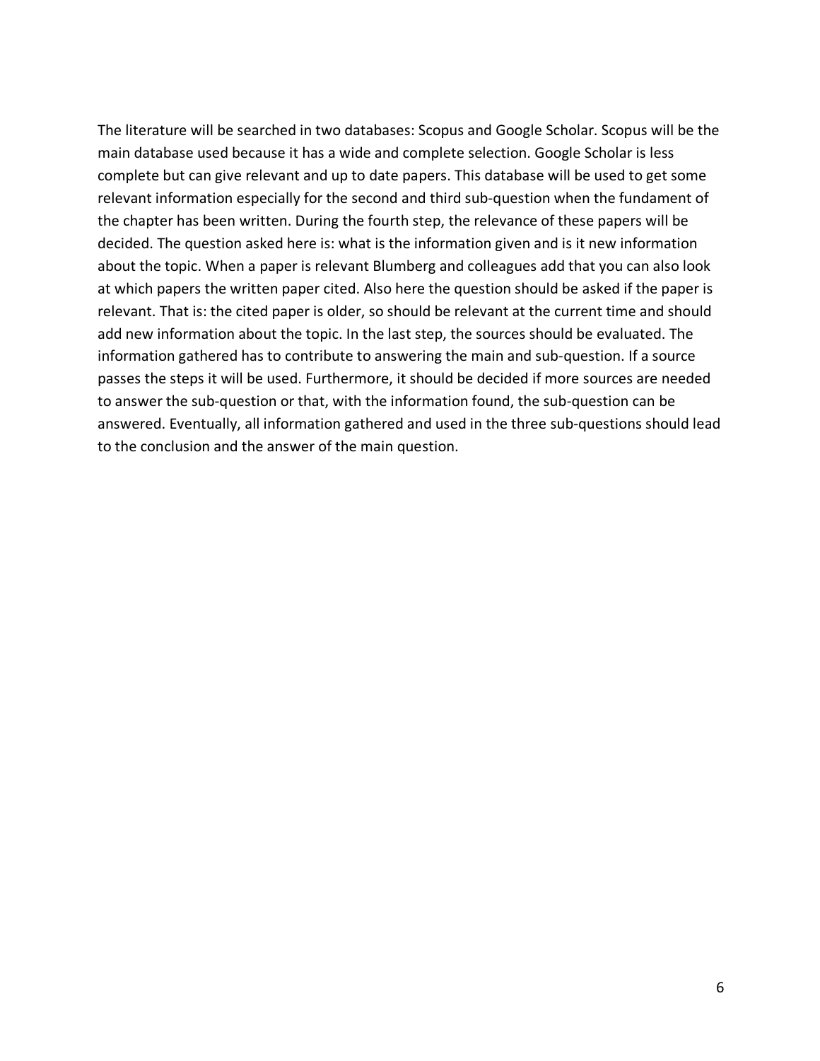The literature will be searched in two databases: Scopus and Google Scholar. Scopus will be the main database used because it has a wide and complete selection. Google Scholar is less complete but can give relevant and up to date papers. This database will be used to get some relevant information especially for the second and third sub-question when the fundament of the chapter has been written. During the fourth step, the relevance of these papers will be decided. The question asked here is: what is the information given and is it new information about the topic. When a paper is relevant Blumberg and colleagues add that you can also look at which papers the written paper cited. Also here the question should be asked if the paper is relevant. That is: the cited paper is older, so should be relevant at the current time and should add new information about the topic. In the last step, the sources should be evaluated. The information gathered has to contribute to answering the main and sub-question. If a source passes the steps it will be used. Furthermore, it should be decided if more sources are needed to answer the sub-question or that, with the information found, the sub-question can be answered. Eventually, all information gathered and used in the three sub-questions should lead to the conclusion and the answer of the main question.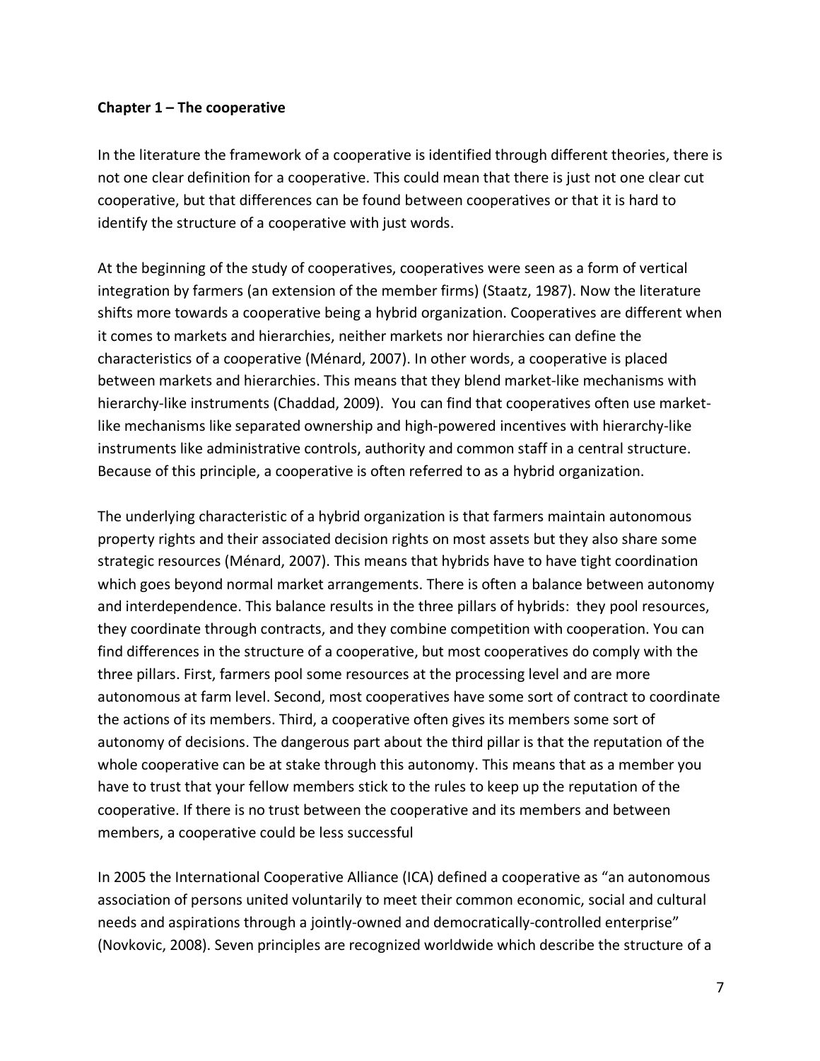## **Chapter 1 – The cooperative**

In the literature the framework of a cooperative is identified through different theories, there is not one clear definition for a cooperative. This could mean that there is just not one clear cut cooperative, but that differences can be found between cooperatives or that it is hard to identify the structure of a cooperative with just words.

At the beginning of the study of cooperatives, cooperatives were seen as a form of vertical integration by farmers (an extension of the member firms) (Staatz, 1987). Now the literature shifts more towards a cooperative being a hybrid organization. Cooperatives are different when it comes to markets and hierarchies, neither markets nor hierarchies can define the characteristics of a cooperative (Ménard, 2007). In other words, a cooperative is placed between markets and hierarchies. This means that they blend market-like mechanisms with hierarchy-like instruments (Chaddad, 2009). You can find that cooperatives often use marketlike mechanisms like separated ownership and high-powered incentives with hierarchy-like instruments like administrative controls, authority and common staff in a central structure. Because of this principle, a cooperative is often referred to as a hybrid organization.

The underlying characteristic of a hybrid organization is that farmers maintain autonomous property rights and their associated decision rights on most assets but they also share some strategic resources (Ménard, 2007). This means that hybrids have to have tight coordination which goes beyond normal market arrangements. There is often a balance between autonomy and interdependence. This balance results in the three pillars of hybrids: they pool resources, they coordinate through contracts, and they combine competition with cooperation. You can find differences in the structure of a cooperative, but most cooperatives do comply with the three pillars. First, farmers pool some resources at the processing level and are more autonomous at farm level. Second, most cooperatives have some sort of contract to coordinate the actions of its members. Third, a cooperative often gives its members some sort of autonomy of decisions. The dangerous part about the third pillar is that the reputation of the whole cooperative can be at stake through this autonomy. This means that as a member you have to trust that your fellow members stick to the rules to keep up the reputation of the cooperative. If there is no trust between the cooperative and its members and between members, a cooperative could be less successful

In 2005 the International Cooperative Alliance (ICA) defined a cooperative as "an autonomous association of persons united voluntarily to meet their common economic, social and cultural needs and aspirations through a jointly-owned and democratically-controlled enterprise" (Novkovic, 2008). Seven principles are recognized worldwide which describe the structure of a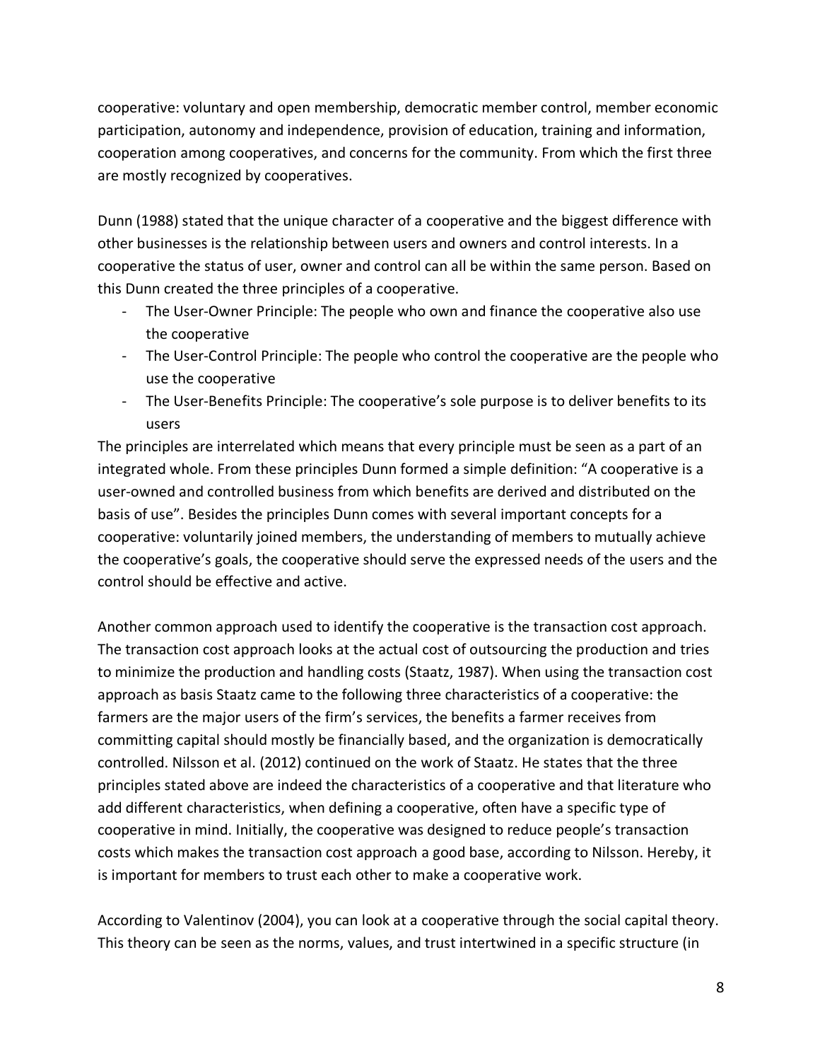cooperative: voluntary and open membership, democratic member control, member economic participation, autonomy and independence, provision of education, training and information, cooperation among cooperatives, and concerns for the community. From which the first three are mostly recognized by cooperatives.

Dunn (1988) stated that the unique character of a cooperative and the biggest difference with other businesses is the relationship between users and owners and control interests. In a cooperative the status of user, owner and control can all be within the same person. Based on this Dunn created the three principles of a cooperative.

- The User-Owner Principle: The people who own and finance the cooperative also use the cooperative
- The User-Control Principle: The people who control the cooperative are the people who use the cooperative
- The User-Benefits Principle: The cooperative's sole purpose is to deliver benefits to its users

The principles are interrelated which means that every principle must be seen as a part of an integrated whole. From these principles Dunn formed a simple definition: "A cooperative is a user-owned and controlled business from which benefits are derived and distributed on the basis of use". Besides the principles Dunn comes with several important concepts for a cooperative: voluntarily joined members, the understanding of members to mutually achieve the cooperative's goals, the cooperative should serve the expressed needs of the users and the control should be effective and active.

Another common approach used to identify the cooperative is the transaction cost approach. The transaction cost approach looks at the actual cost of outsourcing the production and tries to minimize the production and handling costs (Staatz, 1987). When using the transaction cost approach as basis Staatz came to the following three characteristics of a cooperative: the farmers are the major users of the firm's services, the benefits a farmer receives from committing capital should mostly be financially based, and the organization is democratically controlled. Nilsson et al. (2012) continued on the work of Staatz. He states that the three principles stated above are indeed the characteristics of a cooperative and that literature who add different characteristics, when defining a cooperative, often have a specific type of cooperative in mind. Initially, the cooperative was designed to reduce people's transaction costs which makes the transaction cost approach a good base, according to Nilsson. Hereby, it is important for members to trust each other to make a cooperative work.

According to Valentinov (2004), you can look at a cooperative through the social capital theory. This theory can be seen as the norms, values, and trust intertwined in a specific structure (in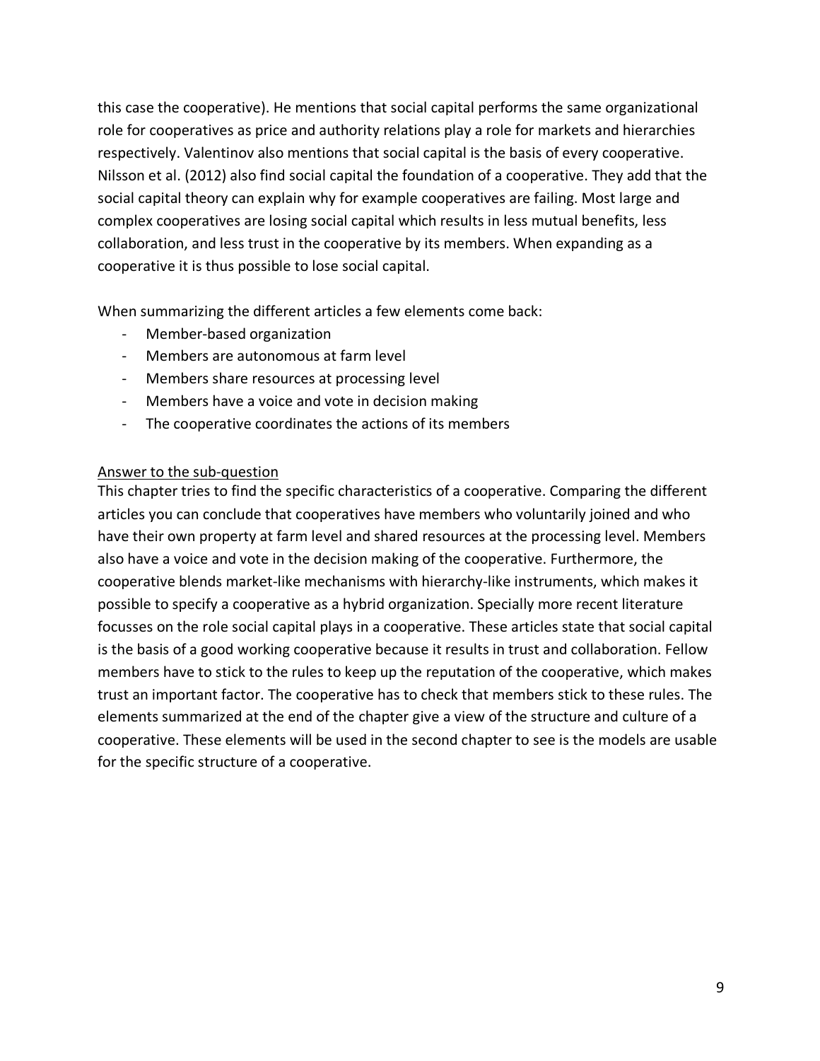this case the cooperative). He mentions that social capital performs the same organizational role for cooperatives as price and authority relations play a role for markets and hierarchies respectively. Valentinov also mentions that social capital is the basis of every cooperative. Nilsson et al. (2012) also find social capital the foundation of a cooperative. They add that the social capital theory can explain why for example cooperatives are failing. Most large and complex cooperatives are losing social capital which results in less mutual benefits, less collaboration, and less trust in the cooperative by its members. When expanding as a cooperative it is thus possible to lose social capital.

When summarizing the different articles a few elements come back:

- Member-based organization
- Members are autonomous at farm level
- Members share resources at processing level
- Members have a voice and vote in decision making
- The cooperative coordinates the actions of its members

## Answer to the sub-question

This chapter tries to find the specific characteristics of a cooperative. Comparing the different articles you can conclude that cooperatives have members who voluntarily joined and who have their own property at farm level and shared resources at the processing level. Members also have a voice and vote in the decision making of the cooperative. Furthermore, the cooperative blends market-like mechanisms with hierarchy-like instruments, which makes it possible to specify a cooperative as a hybrid organization. Specially more recent literature focusses on the role social capital plays in a cooperative. These articles state that social capital is the basis of a good working cooperative because it results in trust and collaboration. Fellow members have to stick to the rules to keep up the reputation of the cooperative, which makes trust an important factor. The cooperative has to check that members stick to these rules. The elements summarized at the end of the chapter give a view of the structure and culture of a cooperative. These elements will be used in the second chapter to see is the models are usable for the specific structure of a cooperative.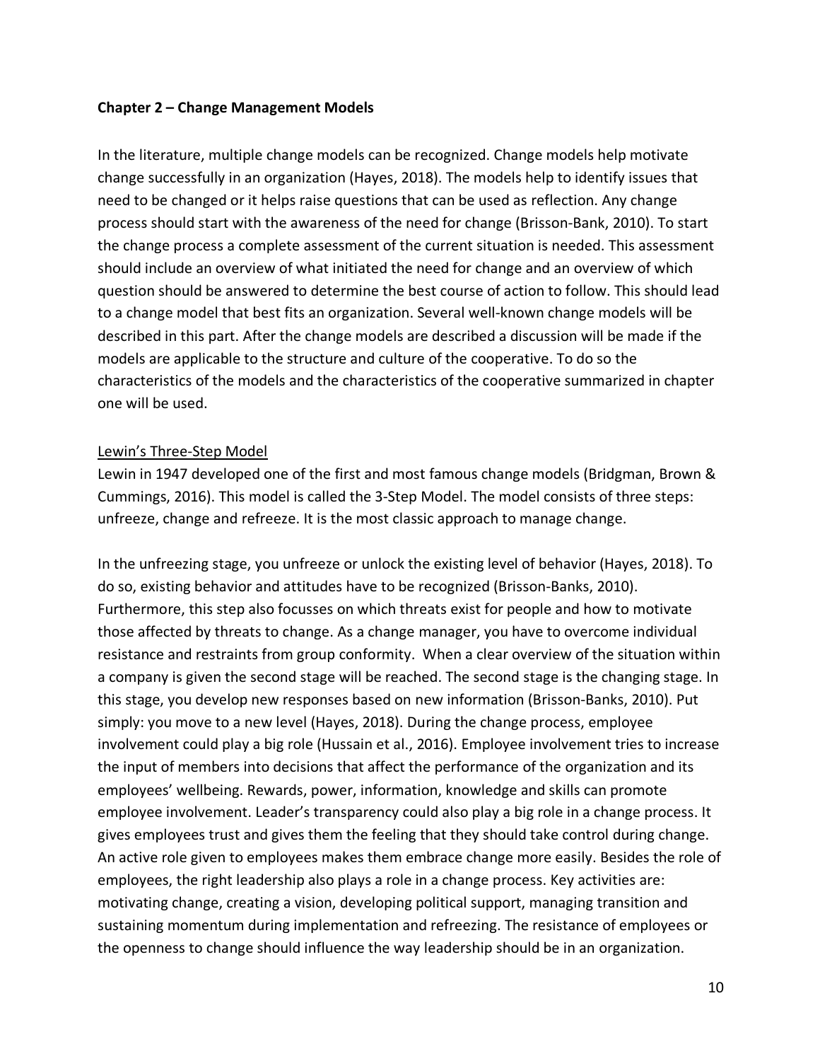## **Chapter 2 – Change Management Models**

In the literature, multiple change models can be recognized. Change models help motivate change successfully in an organization (Hayes, 2018). The models help to identify issues that need to be changed or it helps raise questions that can be used as reflection. Any change process should start with the awareness of the need for change (Brisson-Bank, 2010). To start the change process a complete assessment of the current situation is needed. This assessment should include an overview of what initiated the need for change and an overview of which question should be answered to determine the best course of action to follow. This should lead to a change model that best fits an organization. Several well-known change models will be described in this part. After the change models are described a discussion will be made if the models are applicable to the structure and culture of the cooperative. To do so the characteristics of the models and the characteristics of the cooperative summarized in chapter one will be used.

## Lewin's Three-Step Model

Lewin in 1947 developed one of the first and most famous change models (Bridgman, Brown & Cummings, 2016). This model is called the 3-Step Model. The model consists of three steps: unfreeze, change and refreeze. It is the most classic approach to manage change.

In the unfreezing stage, you unfreeze or unlock the existing level of behavior (Hayes, 2018). To do so, existing behavior and attitudes have to be recognized (Brisson-Banks, 2010). Furthermore, this step also focusses on which threats exist for people and how to motivate those affected by threats to change. As a change manager, you have to overcome individual resistance and restraints from group conformity. When a clear overview of the situation within a company is given the second stage will be reached. The second stage is the changing stage. In this stage, you develop new responses based on new information (Brisson-Banks, 2010). Put simply: you move to a new level (Hayes, 2018). During the change process, employee involvement could play a big role (Hussain et al., 2016). Employee involvement tries to increase the input of members into decisions that affect the performance of the organization and its employees' wellbeing. Rewards, power, information, knowledge and skills can promote employee involvement. Leader's transparency could also play a big role in a change process. It gives employees trust and gives them the feeling that they should take control during change. An active role given to employees makes them embrace change more easily. Besides the role of employees, the right leadership also plays a role in a change process. Key activities are: motivating change, creating a vision, developing political support, managing transition and sustaining momentum during implementation and refreezing. The resistance of employees or the openness to change should influence the way leadership should be in an organization.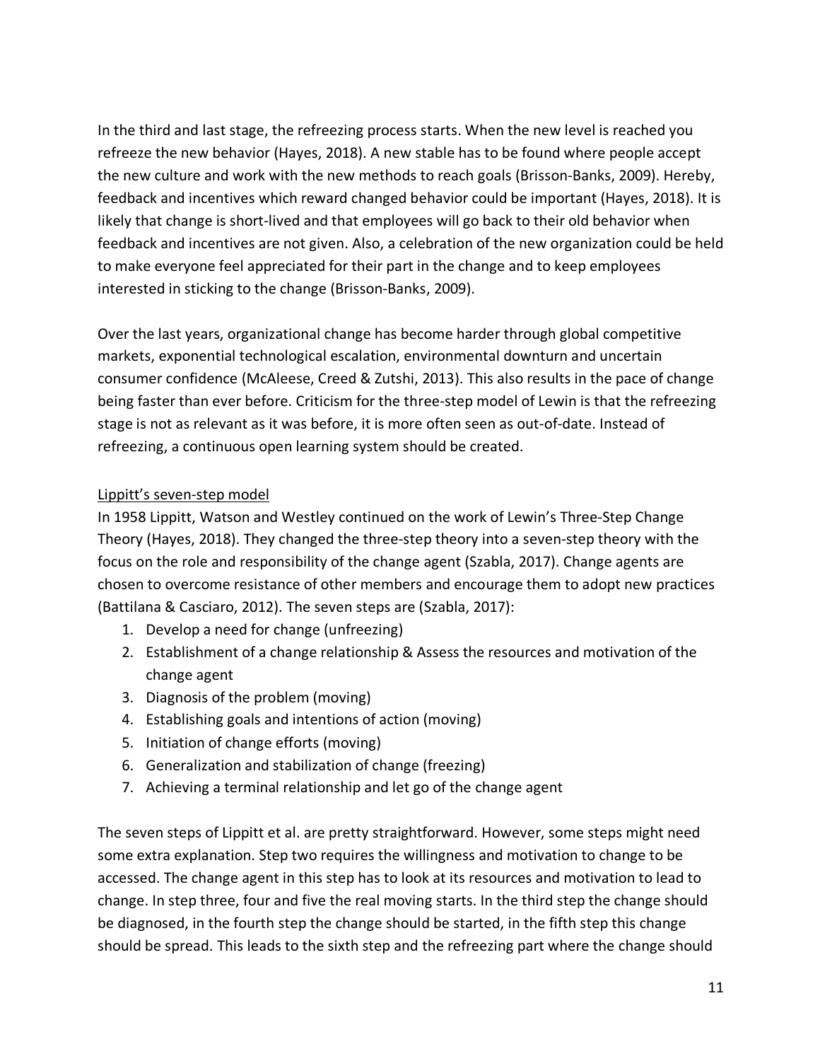In the third and last stage, the refreezing process starts. When the new level is reached you refreeze the new behavior (Hayes, 2018). A new stable has to be found where people accept the new culture and work with the new methods to reach goals (Brisson-Banks, 2009). Hereby, feedback and incentives which reward changed behavior could be important (Hayes, 2018). It is likely that change is short-lived and that employees will go back to their old behavior when feedback and incentives are not given. Also, a celebration of the new organization could be held to make everyone feel appreciated for their part in the change and to keep employees interested in sticking to the change (Brisson-Banks, 2009).

Over the last years, organizational change has become harder through global competitive markets, exponential technological escalation, environmental downturn and uncertain consumer confidence (McAleese, Creed & Zutshi, 2013). This also results in the pace of change being faster than ever before. Criticism for the three-step model of Lewin is that the refreezing stage is not as relevant as it was before, it is more often seen as out-of-date. Instead of refreezing, a continuous open learning system should be created.

# Lippitt's seven-step model

In 1958 Lippitt, Watson and Westley continued on the work of Lewin's Three-Step Change Theory (Hayes, 2018). They changed the three-step theory into a seven-step theory with the focus on the role and responsibility of the change agent (Szabla, 2017). Change agents are chosen to overcome resistance of other members and encourage them to adopt new practices (Battilana & Casciaro, 2012). The seven steps are (Szabla, 2017):

- 1. Develop a need for change (unfreezing)
- 2. Establishment of a change relationship & Assess the resources and motivation of the change agent
- 3. Diagnosis of the problem (moving)
- 4. Establishing goals and intentions of action (moving)
- 5. Initiation of change efforts (moving)
- 6. Generalization and stabilization of change (freezing)
- 7. Achieving a terminal relationship and let go of the change agent

The seven steps of Lippitt et al. are pretty straightforward. However, some steps might need some extra explanation. Step two requires the willingness and motivation to change to be accessed. The change agent in this step has to look at its resources and motivation to lead to change. In step three, four and five the real moving starts. In the third step the change should be diagnosed, in the fourth step the change should be started, in the fifth step this change should be spread. This leads to the sixth step and the refreezing part where the change should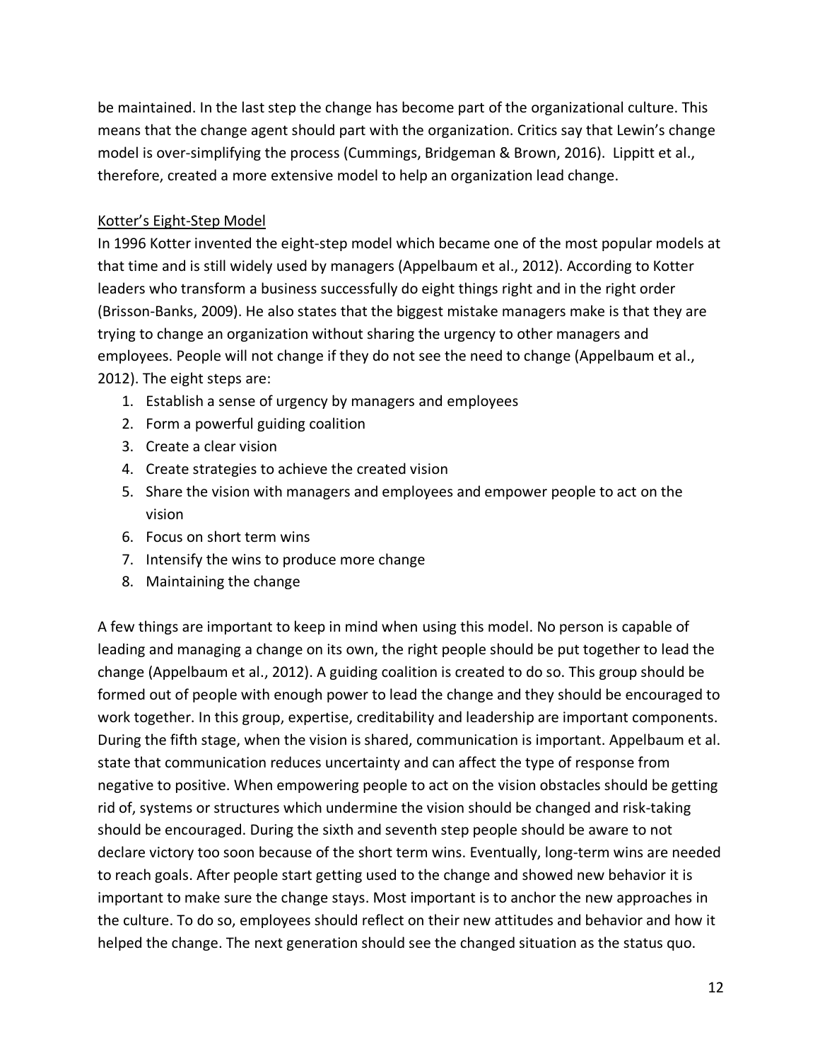be maintained. In the last step the change has become part of the organizational culture. This means that the change agent should part with the organization. Critics say that Lewin's change model is over-simplifying the process (Cummings, Bridgeman & Brown, 2016). Lippitt et al., therefore, created a more extensive model to help an organization lead change.

## Kotter's Eight-Step Model

In 1996 Kotter invented the eight-step model which became one of the most popular models at that time and is still widely used by managers (Appelbaum et al., 2012). According to Kotter leaders who transform a business successfully do eight things right and in the right order (Brisson-Banks, 2009). He also states that the biggest mistake managers make is that they are trying to change an organization without sharing the urgency to other managers and employees. People will not change if they do not see the need to change (Appelbaum et al., 2012). The eight steps are:

- 1. Establish a sense of urgency by managers and employees
- 2. Form a powerful guiding coalition
- 3. Create a clear vision
- 4. Create strategies to achieve the created vision
- 5. Share the vision with managers and employees and empower people to act on the vision
- 6. Focus on short term wins
- 7. Intensify the wins to produce more change
- 8. Maintaining the change

A few things are important to keep in mind when using this model. No person is capable of leading and managing a change on its own, the right people should be put together to lead the change (Appelbaum et al., 2012). A guiding coalition is created to do so. This group should be formed out of people with enough power to lead the change and they should be encouraged to work together. In this group, expertise, creditability and leadership are important components. During the fifth stage, when the vision is shared, communication is important. Appelbaum et al. state that communication reduces uncertainty and can affect the type of response from negative to positive. When empowering people to act on the vision obstacles should be getting rid of, systems or structures which undermine the vision should be changed and risk-taking should be encouraged. During the sixth and seventh step people should be aware to not declare victory too soon because of the short term wins. Eventually, long-term wins are needed to reach goals. After people start getting used to the change and showed new behavior it is important to make sure the change stays. Most important is to anchor the new approaches in the culture. To do so, employees should reflect on their new attitudes and behavior and how it helped the change. The next generation should see the changed situation as the status quo.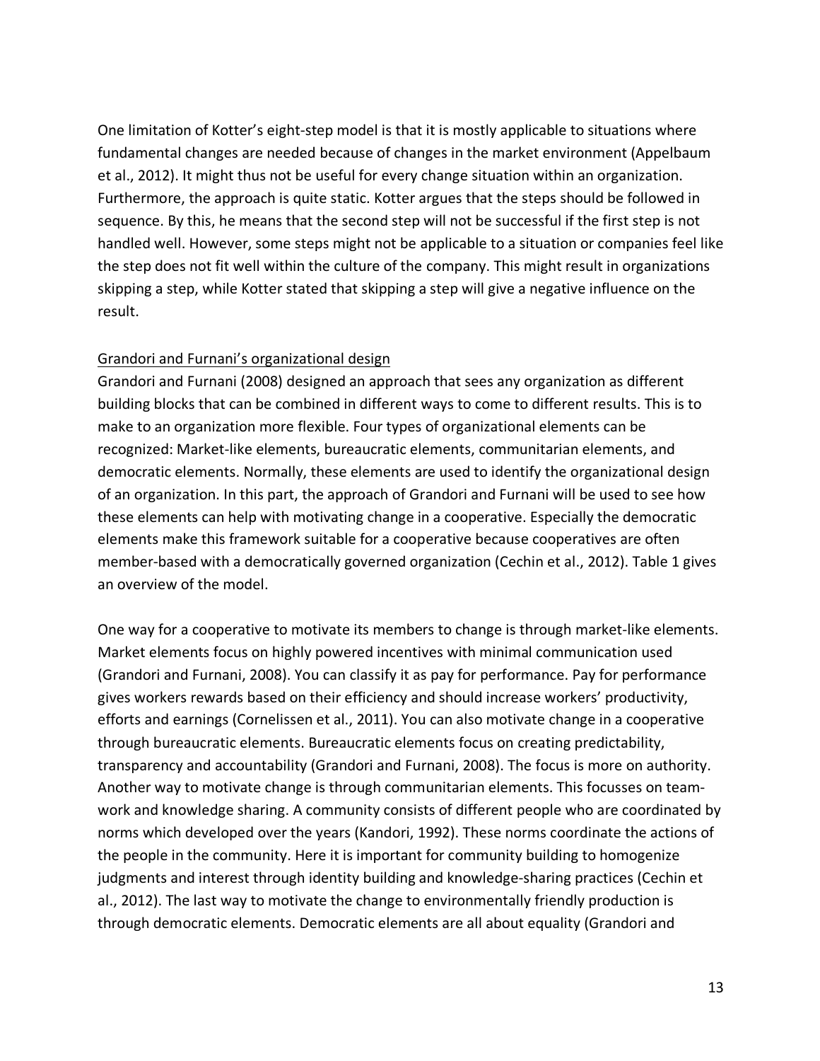One limitation of Kotter's eight-step model is that it is mostly applicable to situations where fundamental changes are needed because of changes in the market environment (Appelbaum et al., 2012). It might thus not be useful for every change situation within an organization. Furthermore, the approach is quite static. Kotter argues that the steps should be followed in sequence. By this, he means that the second step will not be successful if the first step is not handled well. However, some steps might not be applicable to a situation or companies feel like the step does not fit well within the culture of the company. This might result in organizations skipping a step, while Kotter stated that skipping a step will give a negative influence on the result.

## Grandori and Furnani's organizational design

Grandori and Furnani (2008) designed an approach that sees any organization as different building blocks that can be combined in different ways to come to different results. This is to make to an organization more flexible. Four types of organizational elements can be recognized: Market-like elements, bureaucratic elements, communitarian elements, and democratic elements. Normally, these elements are used to identify the organizational design of an organization. In this part, the approach of Grandori and Furnani will be used to see how these elements can help with motivating change in a cooperative. Especially the democratic elements make this framework suitable for a cooperative because cooperatives are often member-based with a democratically governed organization (Cechin et al., 2012). Table 1 gives an overview of the model.

One way for a cooperative to motivate its members to change is through market-like elements. Market elements focus on highly powered incentives with minimal communication used (Grandori and Furnani, 2008). You can classify it as pay for performance. Pay for performance gives workers rewards based on their efficiency and should increase workers' productivity, efforts and earnings (Cornelissen et al., 2011). You can also motivate change in a cooperative through bureaucratic elements. Bureaucratic elements focus on creating predictability, transparency and accountability (Grandori and Furnani, 2008). The focus is more on authority. Another way to motivate change is through communitarian elements. This focusses on teamwork and knowledge sharing. A community consists of different people who are coordinated by norms which developed over the years (Kandori, 1992). These norms coordinate the actions of the people in the community. Here it is important for community building to homogenize judgments and interest through identity building and knowledge-sharing practices (Cechin et al., 2012). The last way to motivate the change to environmentally friendly production is through democratic elements. Democratic elements are all about equality (Grandori and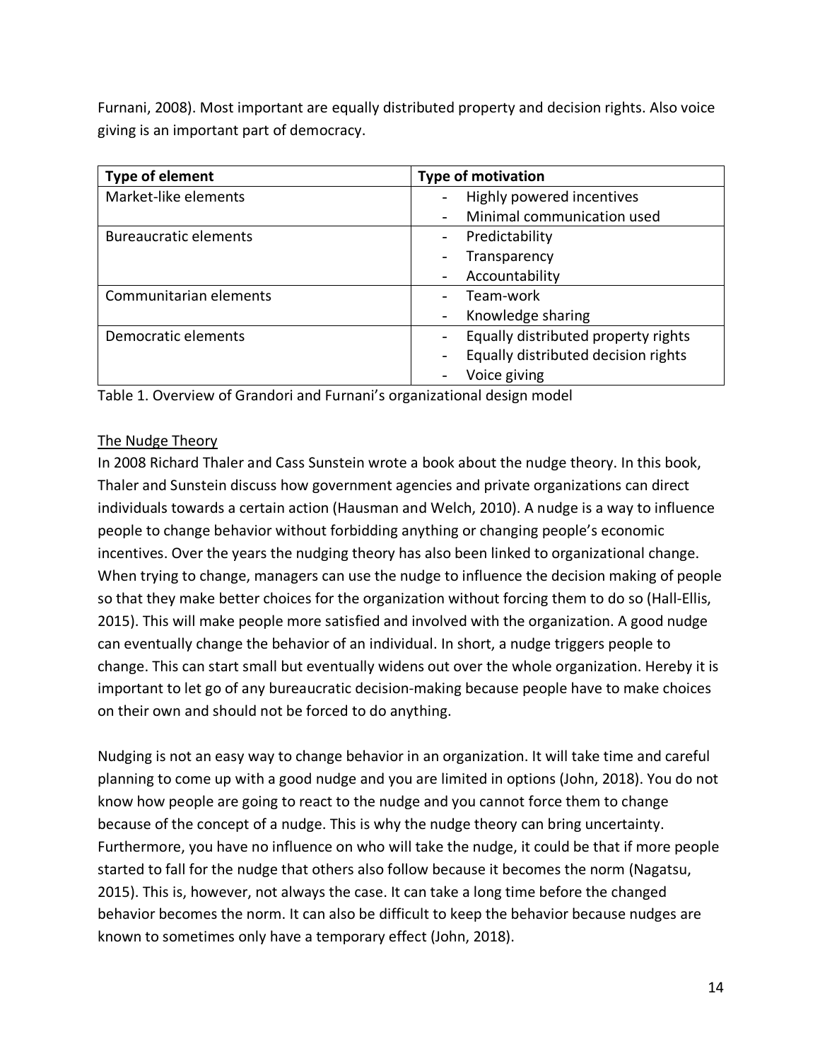Furnani, 2008). Most important are equally distributed property and decision rights. Also voice giving is an important part of democracy.

| Type of element              | <b>Type of motivation</b>                |  |  |  |
|------------------------------|------------------------------------------|--|--|--|
| Market-like elements         | Highly powered incentives<br>-           |  |  |  |
|                              | Minimal communication used<br>-          |  |  |  |
| <b>Bureaucratic elements</b> | Predictability<br>-                      |  |  |  |
|                              | Transparency                             |  |  |  |
|                              | Accountability                           |  |  |  |
| Communitarian elements       | Team-work                                |  |  |  |
|                              | Knowledge sharing<br>-                   |  |  |  |
| Democratic elements          | Equally distributed property rights      |  |  |  |
|                              | Equally distributed decision rights<br>- |  |  |  |
|                              | Voice giving<br>-                        |  |  |  |

Table 1. Overview of Grandori and Furnani's organizational design model

## The Nudge Theory

In 2008 Richard Thaler and Cass Sunstein wrote a book about the nudge theory. In this book, Thaler and Sunstein discuss how government agencies and private organizations can direct individuals towards a certain action (Hausman and Welch, 2010). A nudge is a way to influence people to change behavior without forbidding anything or changing people's economic incentives. Over the years the nudging theory has also been linked to organizational change. When trying to change, managers can use the nudge to influence the decision making of people so that they make better choices for the organization without forcing them to do so (Hall-Ellis, 2015). This will make people more satisfied and involved with the organization. A good nudge can eventually change the behavior of an individual. In short, a nudge triggers people to change. This can start small but eventually widens out over the whole organization. Hereby it is important to let go of any bureaucratic decision-making because people have to make choices on their own and should not be forced to do anything.

Nudging is not an easy way to change behavior in an organization. It will take time and careful planning to come up with a good nudge and you are limited in options (John, 2018). You do not know how people are going to react to the nudge and you cannot force them to change because of the concept of a nudge. This is why the nudge theory can bring uncertainty. Furthermore, you have no influence on who will take the nudge, it could be that if more people started to fall for the nudge that others also follow because it becomes the norm (Nagatsu, 2015). This is, however, not always the case. It can take a long time before the changed behavior becomes the norm. It can also be difficult to keep the behavior because nudges are known to sometimes only have a temporary effect (John, 2018).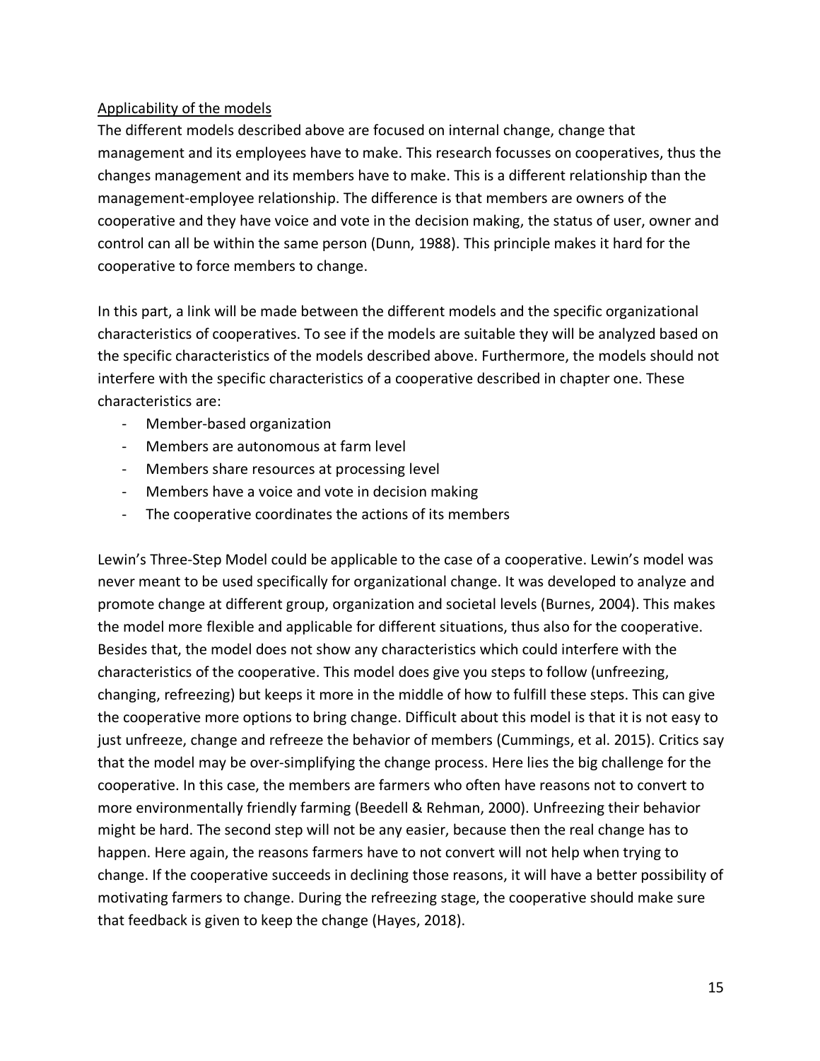## Applicability of the models

The different models described above are focused on internal change, change that management and its employees have to make. This research focusses on cooperatives, thus the changes management and its members have to make. This is a different relationship than the management-employee relationship. The difference is that members are owners of the cooperative and they have voice and vote in the decision making, the status of user, owner and control can all be within the same person (Dunn, 1988). This principle makes it hard for the cooperative to force members to change.

In this part, a link will be made between the different models and the specific organizational characteristics of cooperatives. To see if the models are suitable they will be analyzed based on the specific characteristics of the models described above. Furthermore, the models should not interfere with the specific characteristics of a cooperative described in chapter one. These characteristics are:

- Member-based organization
- Members are autonomous at farm level
- Members share resources at processing level
- Members have a voice and vote in decision making
- The cooperative coordinates the actions of its members

Lewin's Three-Step Model could be applicable to the case of a cooperative. Lewin's model was never meant to be used specifically for organizational change. It was developed to analyze and promote change at different group, organization and societal levels (Burnes, 2004). This makes the model more flexible and applicable for different situations, thus also for the cooperative. Besides that, the model does not show any characteristics which could interfere with the characteristics of the cooperative. This model does give you steps to follow (unfreezing, changing, refreezing) but keeps it more in the middle of how to fulfill these steps. This can give the cooperative more options to bring change. Difficult about this model is that it is not easy to just unfreeze, change and refreeze the behavior of members (Cummings, et al. 2015). Critics say that the model may be over-simplifying the change process. Here lies the big challenge for the cooperative. In this case, the members are farmers who often have reasons not to convert to more environmentally friendly farming (Beedell & Rehman, 2000). Unfreezing their behavior might be hard. The second step will not be any easier, because then the real change has to happen. Here again, the reasons farmers have to not convert will not help when trying to change. If the cooperative succeeds in declining those reasons, it will have a better possibility of motivating farmers to change. During the refreezing stage, the cooperative should make sure that feedback is given to keep the change (Hayes, 2018).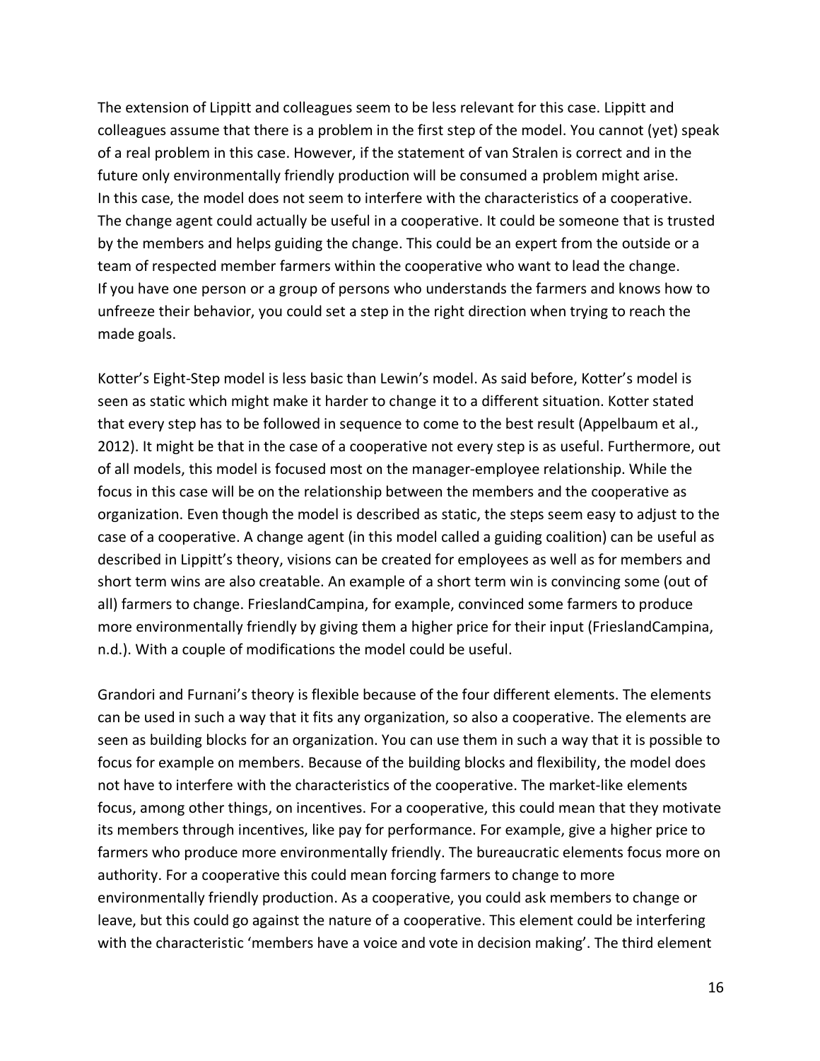The extension of Lippitt and colleagues seem to be less relevant for this case. Lippitt and colleagues assume that there is a problem in the first step of the model. You cannot (yet) speak of a real problem in this case. However, if the statement of van Stralen is correct and in the future only environmentally friendly production will be consumed a problem might arise. In this case, the model does not seem to interfere with the characteristics of a cooperative. The change agent could actually be useful in a cooperative. It could be someone that is trusted by the members and helps guiding the change. This could be an expert from the outside or a team of respected member farmers within the cooperative who want to lead the change. If you have one person or a group of persons who understands the farmers and knows how to unfreeze their behavior, you could set a step in the right direction when trying to reach the made goals.

Kotter's Eight-Step model is less basic than Lewin's model. As said before, Kotter's model is seen as static which might make it harder to change it to a different situation. Kotter stated that every step has to be followed in sequence to come to the best result (Appelbaum et al., 2012). It might be that in the case of a cooperative not every step is as useful. Furthermore, out of all models, this model is focused most on the manager-employee relationship. While the focus in this case will be on the relationship between the members and the cooperative as organization. Even though the model is described as static, the steps seem easy to adjust to the case of a cooperative. A change agent (in this model called a guiding coalition) can be useful as described in Lippitt's theory, visions can be created for employees as well as for members and short term wins are also creatable. An example of a short term win is convincing some (out of all) farmers to change. FrieslandCampina, for example, convinced some farmers to produce more environmentally friendly by giving them a higher price for their input (FrieslandCampina, n.d.). With a couple of modifications the model could be useful.

Grandori and Furnani's theory is flexible because of the four different elements. The elements can be used in such a way that it fits any organization, so also a cooperative. The elements are seen as building blocks for an organization. You can use them in such a way that it is possible to focus for example on members. Because of the building blocks and flexibility, the model does not have to interfere with the characteristics of the cooperative. The market-like elements focus, among other things, on incentives. For a cooperative, this could mean that they motivate its members through incentives, like pay for performance. For example, give a higher price to farmers who produce more environmentally friendly. The bureaucratic elements focus more on authority. For a cooperative this could mean forcing farmers to change to more environmentally friendly production. As a cooperative, you could ask members to change or leave, but this could go against the nature of a cooperative. This element could be interfering with the characteristic 'members have a voice and vote in decision making'. The third element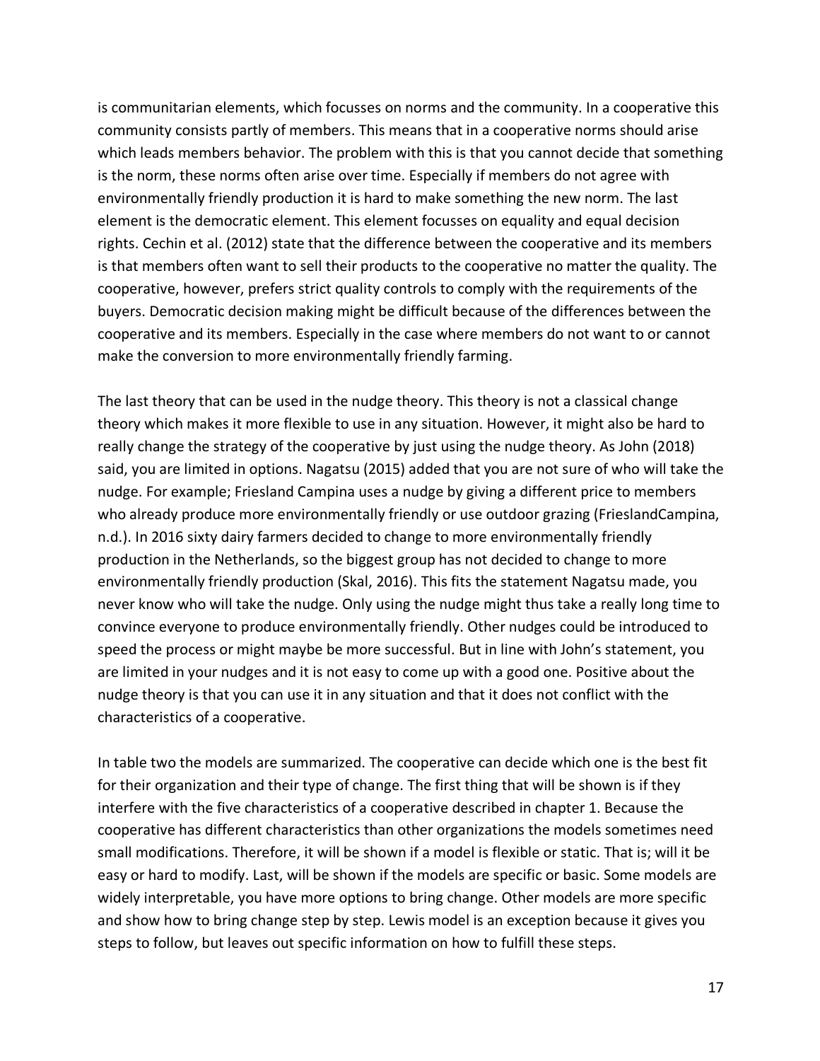is communitarian elements, which focusses on norms and the community. In a cooperative this community consists partly of members. This means that in a cooperative norms should arise which leads members behavior. The problem with this is that you cannot decide that something is the norm, these norms often arise over time. Especially if members do not agree with environmentally friendly production it is hard to make something the new norm. The last element is the democratic element. This element focusses on equality and equal decision rights. Cechin et al. (2012) state that the difference between the cooperative and its members is that members often want to sell their products to the cooperative no matter the quality. The cooperative, however, prefers strict quality controls to comply with the requirements of the buyers. Democratic decision making might be difficult because of the differences between the cooperative and its members. Especially in the case where members do not want to or cannot make the conversion to more environmentally friendly farming.

The last theory that can be used in the nudge theory. This theory is not a classical change theory which makes it more flexible to use in any situation. However, it might also be hard to really change the strategy of the cooperative by just using the nudge theory. As John (2018) said, you are limited in options. Nagatsu (2015) added that you are not sure of who will take the nudge. For example; Friesland Campina uses a nudge by giving a different price to members who already produce more environmentally friendly or use outdoor grazing (FrieslandCampina, n.d.). In 2016 sixty dairy farmers decided to change to more environmentally friendly production in the Netherlands, so the biggest group has not decided to change to more environmentally friendly production (Skal, 2016). This fits the statement Nagatsu made, you never know who will take the nudge. Only using the nudge might thus take a really long time to convince everyone to produce environmentally friendly. Other nudges could be introduced to speed the process or might maybe be more successful. But in line with John's statement, you are limited in your nudges and it is not easy to come up with a good one. Positive about the nudge theory is that you can use it in any situation and that it does not conflict with the characteristics of a cooperative.

In table two the models are summarized. The cooperative can decide which one is the best fit for their organization and their type of change. The first thing that will be shown is if they interfere with the five characteristics of a cooperative described in chapter 1. Because the cooperative has different characteristics than other organizations the models sometimes need small modifications. Therefore, it will be shown if a model is flexible or static. That is; will it be easy or hard to modify. Last, will be shown if the models are specific or basic. Some models are widely interpretable, you have more options to bring change. Other models are more specific and show how to bring change step by step. Lewis model is an exception because it gives you steps to follow, but leaves out specific information on how to fulfill these steps.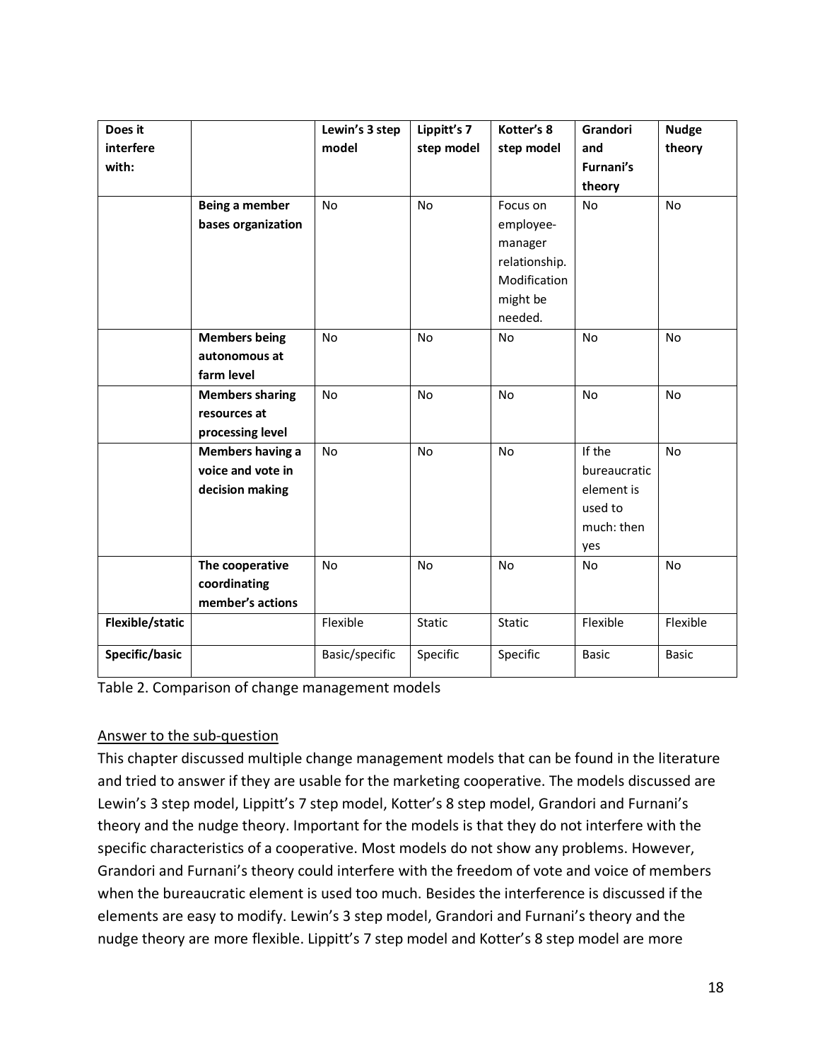| Does it         |                        | Lewin's 3 step | Lippitt's 7 | Kotter's 8    | Grandori     | <b>Nudge</b> |
|-----------------|------------------------|----------------|-------------|---------------|--------------|--------------|
| interfere       |                        | model          | step model  | step model    | and          | theory       |
| with:           |                        |                |             |               | Furnani's    |              |
|                 |                        |                |             |               | theory       |              |
|                 | Being a member         | <b>No</b>      | No          | Focus on      | No           | No           |
|                 | bases organization     |                |             | employee-     |              |              |
|                 |                        |                |             | manager       |              |              |
|                 |                        |                |             | relationship. |              |              |
|                 |                        |                |             | Modification  |              |              |
|                 |                        |                |             | might be      |              |              |
|                 |                        |                |             | needed.       |              |              |
|                 | <b>Members being</b>   | No             | No          | <b>No</b>     | No           | No           |
|                 | autonomous at          |                |             |               |              |              |
|                 | farm level             |                |             |               |              |              |
|                 | <b>Members sharing</b> | No             | No          | No            | No           | No           |
|                 | resources at           |                |             |               |              |              |
|                 | processing level       |                |             |               |              |              |
|                 | Members having a       | No             | No          | <b>No</b>     | If the       | <b>No</b>    |
|                 | voice and vote in      |                |             |               | bureaucratic |              |
|                 | decision making        |                |             |               | element is   |              |
|                 |                        |                |             |               | used to      |              |
|                 |                        |                |             |               | much: then   |              |
|                 |                        |                |             |               | yes          |              |
|                 | The cooperative        | No             | No          | No            | <b>No</b>    | No           |
|                 | coordinating           |                |             |               |              |              |
|                 | member's actions       |                |             |               |              |              |
| Flexible/static |                        | Flexible       | Static      | Static        | Flexible     | Flexible     |
| Specific/basic  |                        | Basic/specific | Specific    | Specific      | <b>Basic</b> | <b>Basic</b> |

# Answer to the sub-question

This chapter discussed multiple change management models that can be found in the literature and tried to answer if they are usable for the marketing cooperative. The models discussed are Lewin's 3 step model, Lippitt's 7 step model, Kotter's 8 step model, Grandori and Furnani's theory and the nudge theory. Important for the models is that they do not interfere with the specific characteristics of a cooperative. Most models do not show any problems. However, Grandori and Furnani's theory could interfere with the freedom of vote and voice of members when the bureaucratic element is used too much. Besides the interference is discussed if the elements are easy to modify. Lewin's 3 step model, Grandori and Furnani's theory and the nudge theory are more flexible. Lippitt's 7 step model and Kotter's 8 step model are more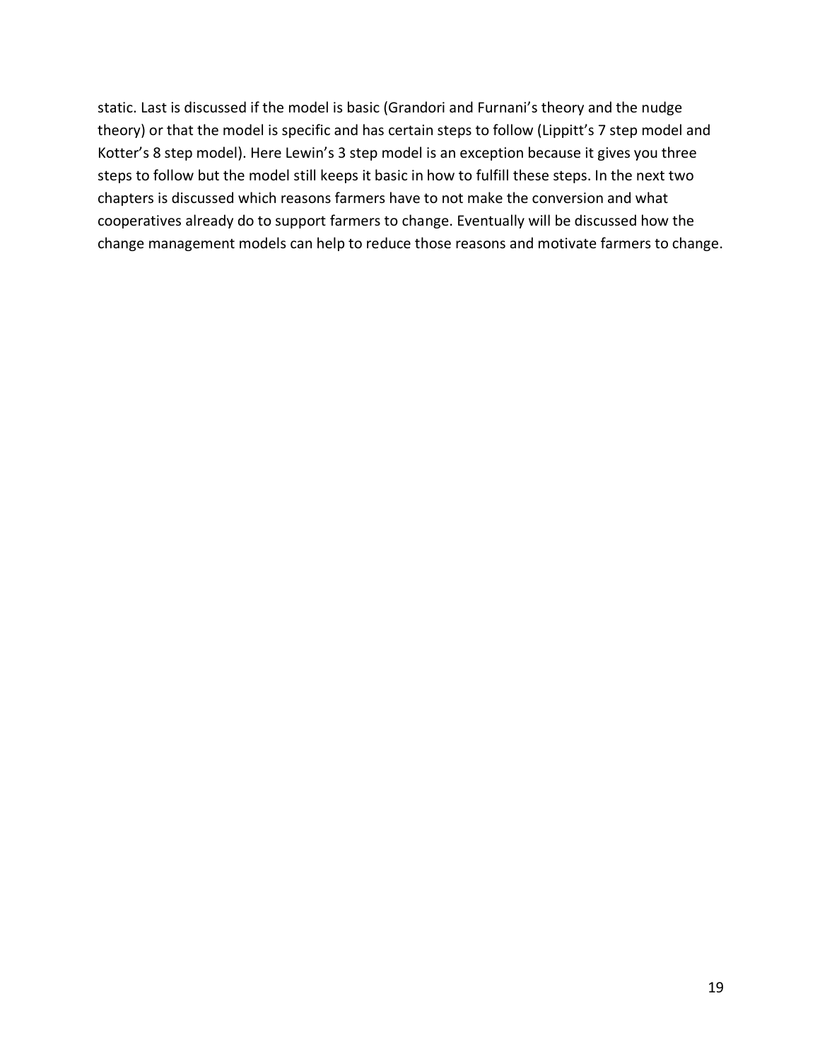static. Last is discussed if the model is basic (Grandori and Furnani's theory and the nudge theory) or that the model is specific and has certain steps to follow (Lippitt's 7 step model and Kotter's 8 step model). Here Lewin's 3 step model is an exception because it gives you three steps to follow but the model still keeps it basic in how to fulfill these steps. In the next two chapters is discussed which reasons farmers have to not make the conversion and what cooperatives already do to support farmers to change. Eventually will be discussed how the change management models can help to reduce those reasons and motivate farmers to change.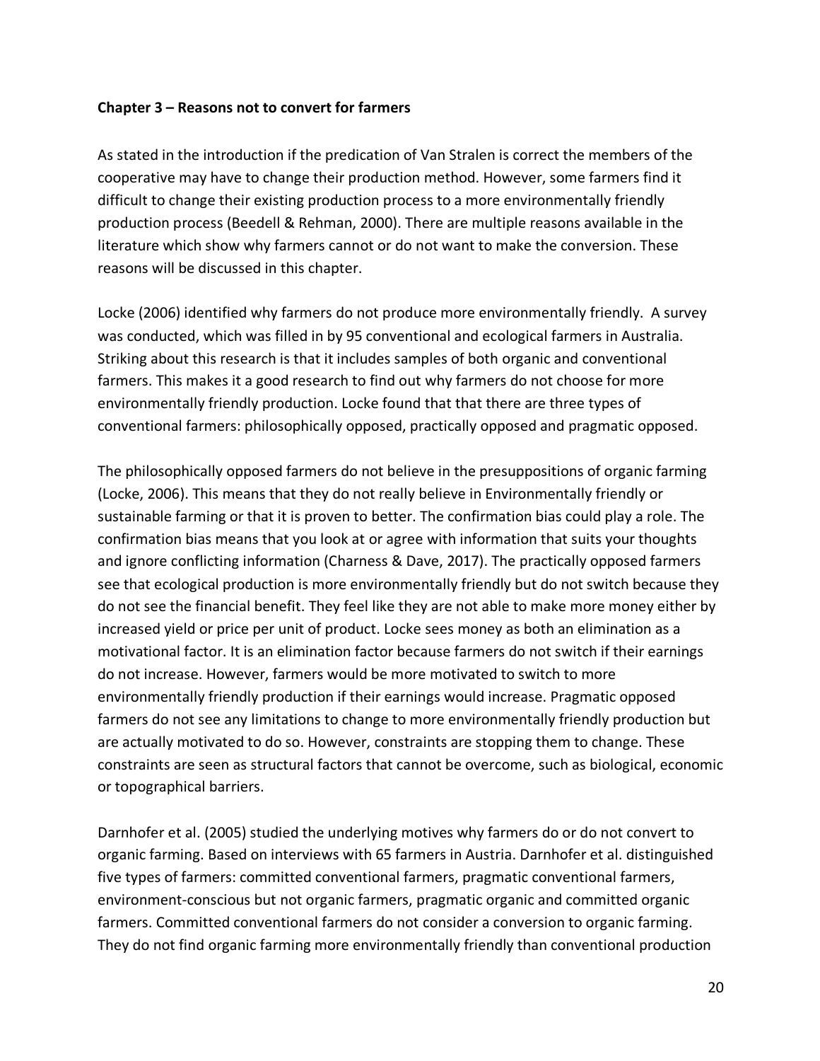## **Chapter 3 – Reasons not to convert for farmers**

As stated in the introduction if the predication of Van Stralen is correct the members of the cooperative may have to change their production method. However, some farmers find it difficult to change their existing production process to a more environmentally friendly production process (Beedell & Rehman, 2000). There are multiple reasons available in the literature which show why farmers cannot or do not want to make the conversion. These reasons will be discussed in this chapter.

Locke (2006) identified why farmers do not produce more environmentally friendly. A survey was conducted, which was filled in by 95 conventional and ecological farmers in Australia. Striking about this research is that it includes samples of both organic and conventional farmers. This makes it a good research to find out why farmers do not choose for more environmentally friendly production. Locke found that that there are three types of conventional farmers: philosophically opposed, practically opposed and pragmatic opposed.

The philosophically opposed farmers do not believe in the presuppositions of organic farming (Locke, 2006). This means that they do not really believe in Environmentally friendly or sustainable farming or that it is proven to better. The confirmation bias could play a role. The confirmation bias means that you look at or agree with information that suits your thoughts and ignore conflicting information (Charness & Dave, 2017). The practically opposed farmers see that ecological production is more environmentally friendly but do not switch because they do not see the financial benefit. They feel like they are not able to make more money either by increased yield or price per unit of product. Locke sees money as both an elimination as a motivational factor. It is an elimination factor because farmers do not switch if their earnings do not increase. However, farmers would be more motivated to switch to more environmentally friendly production if their earnings would increase. Pragmatic opposed farmers do not see any limitations to change to more environmentally friendly production but are actually motivated to do so. However, constraints are stopping them to change. These constraints are seen as structural factors that cannot be overcome, such as biological, economic or topographical barriers.

Darnhofer et al. (2005) studied the underlying motives why farmers do or do not convert to organic farming. Based on interviews with 65 farmers in Austria. Darnhofer et al. distinguished five types of farmers: committed conventional farmers, pragmatic conventional farmers, environment-conscious but not organic farmers, pragmatic organic and committed organic farmers. Committed conventional farmers do not consider a conversion to organic farming. They do not find organic farming more environmentally friendly than conventional production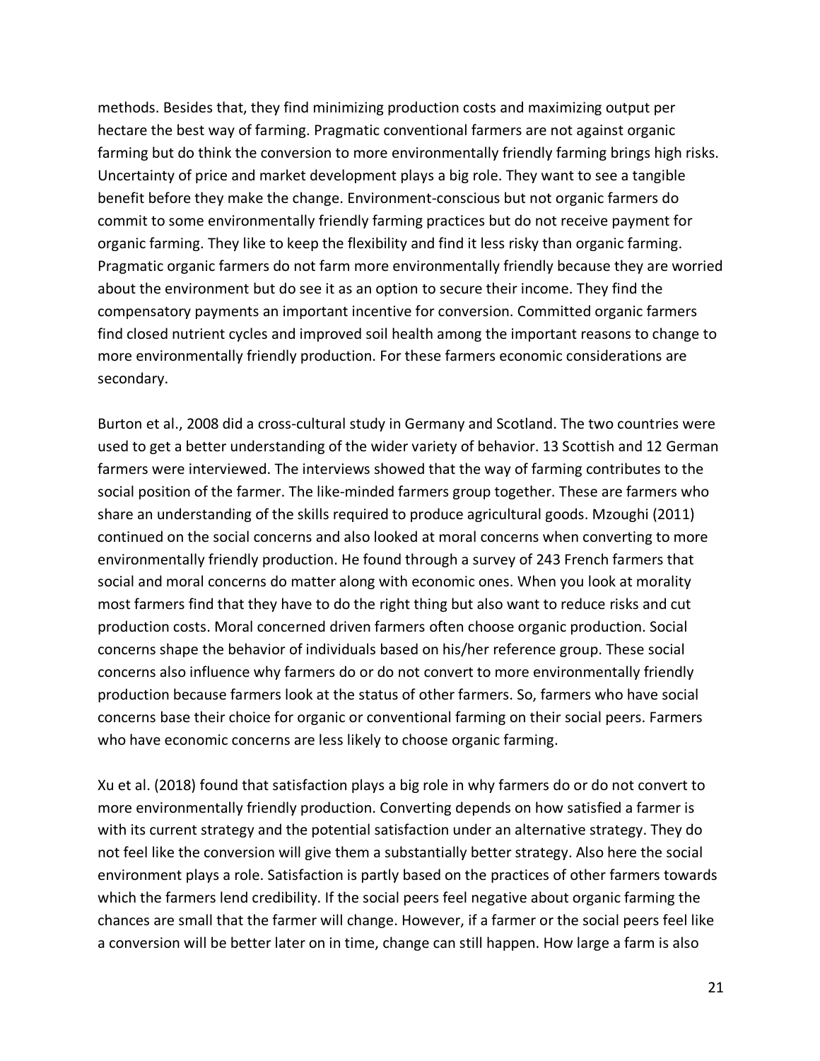methods. Besides that, they find minimizing production costs and maximizing output per hectare the best way of farming. Pragmatic conventional farmers are not against organic farming but do think the conversion to more environmentally friendly farming brings high risks. Uncertainty of price and market development plays a big role. They want to see a tangible benefit before they make the change. Environment-conscious but not organic farmers do commit to some environmentally friendly farming practices but do not receive payment for organic farming. They like to keep the flexibility and find it less risky than organic farming. Pragmatic organic farmers do not farm more environmentally friendly because they are worried about the environment but do see it as an option to secure their income. They find the compensatory payments an important incentive for conversion. Committed organic farmers find closed nutrient cycles and improved soil health among the important reasons to change to more environmentally friendly production. For these farmers economic considerations are secondary.

Burton et al., 2008 did a cross-cultural study in Germany and Scotland. The two countries were used to get a better understanding of the wider variety of behavior. 13 Scottish and 12 German farmers were interviewed. The interviews showed that the way of farming contributes to the social position of the farmer. The like-minded farmers group together. These are farmers who share an understanding of the skills required to produce agricultural goods. Mzoughi (2011) continued on the social concerns and also looked at moral concerns when converting to more environmentally friendly production. He found through a survey of 243 French farmers that social and moral concerns do matter along with economic ones. When you look at morality most farmers find that they have to do the right thing but also want to reduce risks and cut production costs. Moral concerned driven farmers often choose organic production. Social concerns shape the behavior of individuals based on his/her reference group. These social concerns also influence why farmers do or do not convert to more environmentally friendly production because farmers look at the status of other farmers. So, farmers who have social concerns base their choice for organic or conventional farming on their social peers. Farmers who have economic concerns are less likely to choose organic farming.

Xu et al. (2018) found that satisfaction plays a big role in why farmers do or do not convert to more environmentally friendly production. Converting depends on how satisfied a farmer is with its current strategy and the potential satisfaction under an alternative strategy. They do not feel like the conversion will give them a substantially better strategy. Also here the social environment plays a role. Satisfaction is partly based on the practices of other farmers towards which the farmers lend credibility. If the social peers feel negative about organic farming the chances are small that the farmer will change. However, if a farmer or the social peers feel like a conversion will be better later on in time, change can still happen. How large a farm is also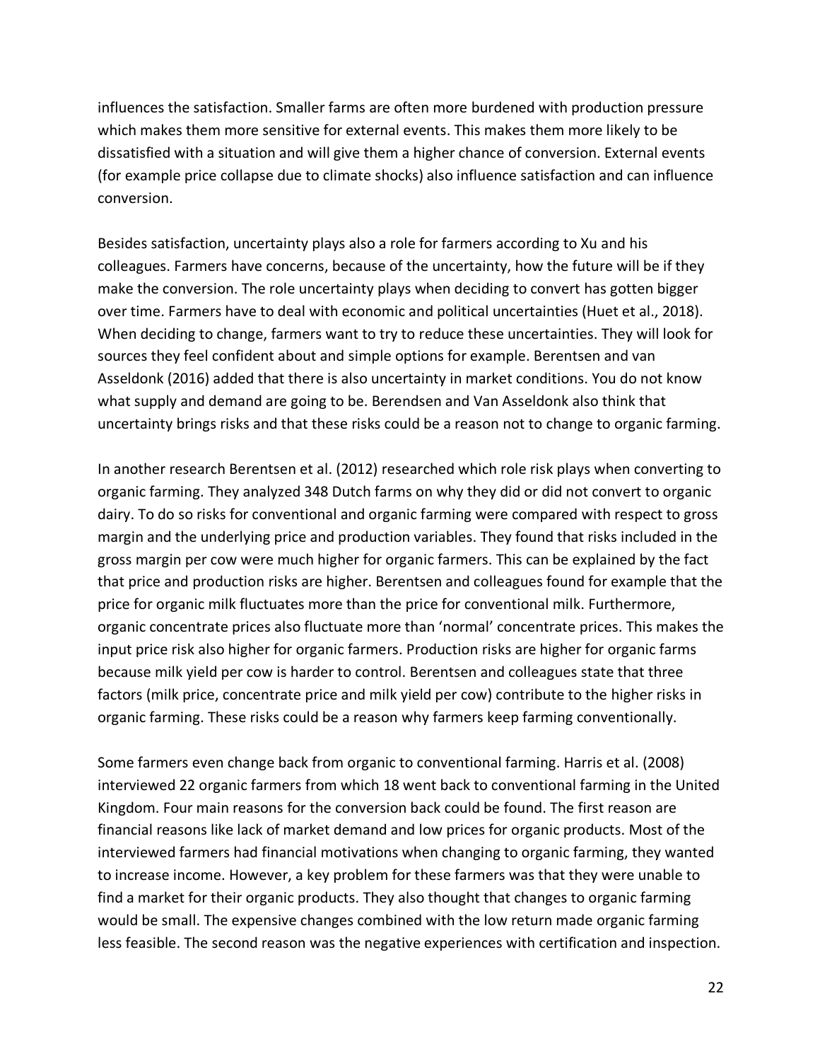influences the satisfaction. Smaller farms are often more burdened with production pressure which makes them more sensitive for external events. This makes them more likely to be dissatisfied with a situation and will give them a higher chance of conversion. External events (for example price collapse due to climate shocks) also influence satisfaction and can influence conversion.

Besides satisfaction, uncertainty plays also a role for farmers according to Xu and his colleagues. Farmers have concerns, because of the uncertainty, how the future will be if they make the conversion. The role uncertainty plays when deciding to convert has gotten bigger over time. Farmers have to deal with economic and political uncertainties (Huet et al., 2018). When deciding to change, farmers want to try to reduce these uncertainties. They will look for sources they feel confident about and simple options for example. Berentsen and van Asseldonk (2016) added that there is also uncertainty in market conditions. You do not know what supply and demand are going to be. Berendsen and Van Asseldonk also think that uncertainty brings risks and that these risks could be a reason not to change to organic farming.

In another research Berentsen et al. (2012) researched which role risk plays when converting to organic farming. They analyzed 348 Dutch farms on why they did or did not convert to organic dairy. To do so risks for conventional and organic farming were compared with respect to gross margin and the underlying price and production variables. They found that risks included in the gross margin per cow were much higher for organic farmers. This can be explained by the fact that price and production risks are higher. Berentsen and colleagues found for example that the price for organic milk fluctuates more than the price for conventional milk. Furthermore, organic concentrate prices also fluctuate more than 'normal' concentrate prices. This makes the input price risk also higher for organic farmers. Production risks are higher for organic farms because milk yield per cow is harder to control. Berentsen and colleagues state that three factors (milk price, concentrate price and milk yield per cow) contribute to the higher risks in organic farming. These risks could be a reason why farmers keep farming conventionally.

Some farmers even change back from organic to conventional farming. Harris et al. (2008) interviewed 22 organic farmers from which 18 went back to conventional farming in the United Kingdom. Four main reasons for the conversion back could be found. The first reason are financial reasons like lack of market demand and low prices for organic products. Most of the interviewed farmers had financial motivations when changing to organic farming, they wanted to increase income. However, a key problem for these farmers was that they were unable to find a market for their organic products. They also thought that changes to organic farming would be small. The expensive changes combined with the low return made organic farming less feasible. The second reason was the negative experiences with certification and inspection.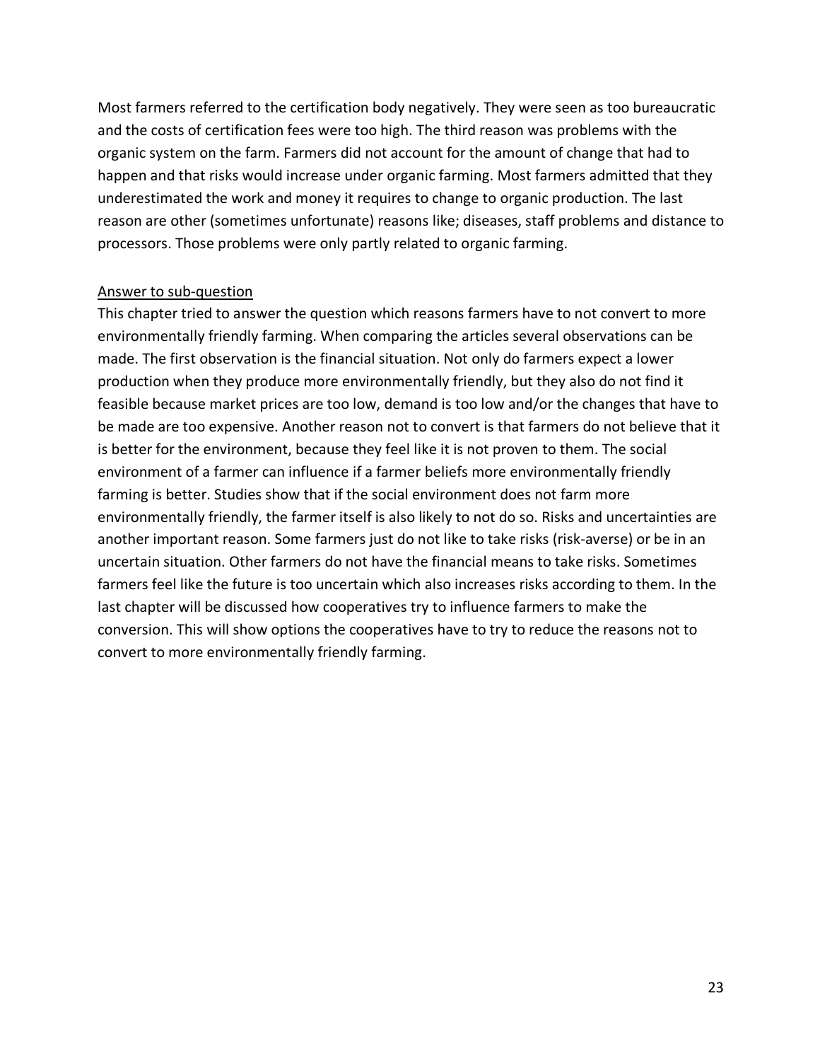Most farmers referred to the certification body negatively. They were seen as too bureaucratic and the costs of certification fees were too high. The third reason was problems with the organic system on the farm. Farmers did not account for the amount of change that had to happen and that risks would increase under organic farming. Most farmers admitted that they underestimated the work and money it requires to change to organic production. The last reason are other (sometimes unfortunate) reasons like; diseases, staff problems and distance to processors. Those problems were only partly related to organic farming.

#### Answer to sub-question

This chapter tried to answer the question which reasons farmers have to not convert to more environmentally friendly farming. When comparing the articles several observations can be made. The first observation is the financial situation. Not only do farmers expect a lower production when they produce more environmentally friendly, but they also do not find it feasible because market prices are too low, demand is too low and/or the changes that have to be made are too expensive. Another reason not to convert is that farmers do not believe that it is better for the environment, because they feel like it is not proven to them. The social environment of a farmer can influence if a farmer beliefs more environmentally friendly farming is better. Studies show that if the social environment does not farm more environmentally friendly, the farmer itself is also likely to not do so. Risks and uncertainties are another important reason. Some farmers just do not like to take risks (risk-averse) or be in an uncertain situation. Other farmers do not have the financial means to take risks. Sometimes farmers feel like the future is too uncertain which also increases risks according to them. In the last chapter will be discussed how cooperatives try to influence farmers to make the conversion. This will show options the cooperatives have to try to reduce the reasons not to convert to more environmentally friendly farming.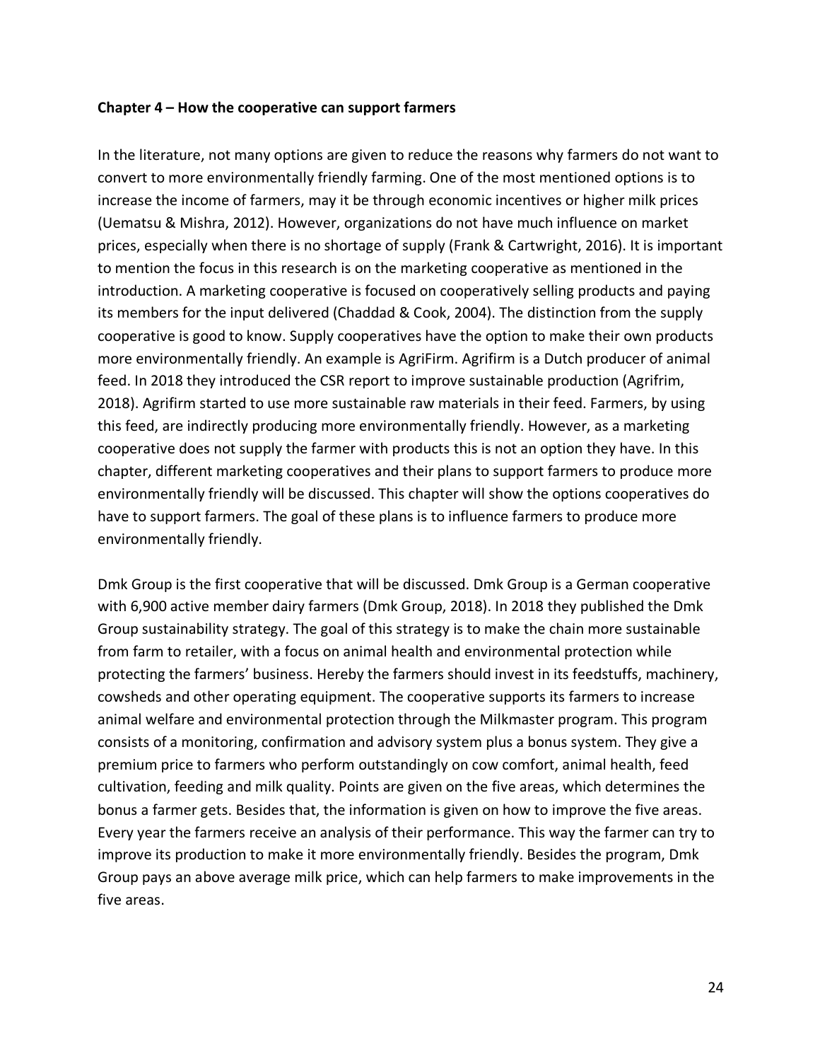#### **Chapter 4 – How the cooperative can support farmers**

In the literature, not many options are given to reduce the reasons why farmers do not want to convert to more environmentally friendly farming. One of the most mentioned options is to increase the income of farmers, may it be through economic incentives or higher milk prices (Uematsu & Mishra, 2012). However, organizations do not have much influence on market prices, especially when there is no shortage of supply (Frank & Cartwright, 2016). It is important to mention the focus in this research is on the marketing cooperative as mentioned in the introduction. A marketing cooperative is focused on cooperatively selling products and paying its members for the input delivered (Chaddad & Cook, 2004). The distinction from the supply cooperative is good to know. Supply cooperatives have the option to make their own products more environmentally friendly. An example is AgriFirm. Agrifirm is a Dutch producer of animal feed. In 2018 they introduced the CSR report to improve sustainable production (Agrifrim, 2018). Agrifirm started to use more sustainable raw materials in their feed. Farmers, by using this feed, are indirectly producing more environmentally friendly. However, as a marketing cooperative does not supply the farmer with products this is not an option they have. In this chapter, different marketing cooperatives and their plans to support farmers to produce more environmentally friendly will be discussed. This chapter will show the options cooperatives do have to support farmers. The goal of these plans is to influence farmers to produce more environmentally friendly.

Dmk Group is the first cooperative that will be discussed. Dmk Group is a German cooperative with 6,900 active member dairy farmers (Dmk Group, 2018). In 2018 they published the Dmk Group sustainability strategy. The goal of this strategy is to make the chain more sustainable from farm to retailer, with a focus on animal health and environmental protection while protecting the farmers' business. Hereby the farmers should invest in its feedstuffs, machinery, cowsheds and other operating equipment. The cooperative supports its farmers to increase animal welfare and environmental protection through the Milkmaster program. This program consists of a monitoring, confirmation and advisory system plus a bonus system. They give a premium price to farmers who perform outstandingly on cow comfort, animal health, feed cultivation, feeding and milk quality. Points are given on the five areas, which determines the bonus a farmer gets. Besides that, the information is given on how to improve the five areas. Every year the farmers receive an analysis of their performance. This way the farmer can try to improve its production to make it more environmentally friendly. Besides the program, Dmk Group pays an above average milk price, which can help farmers to make improvements in the five areas.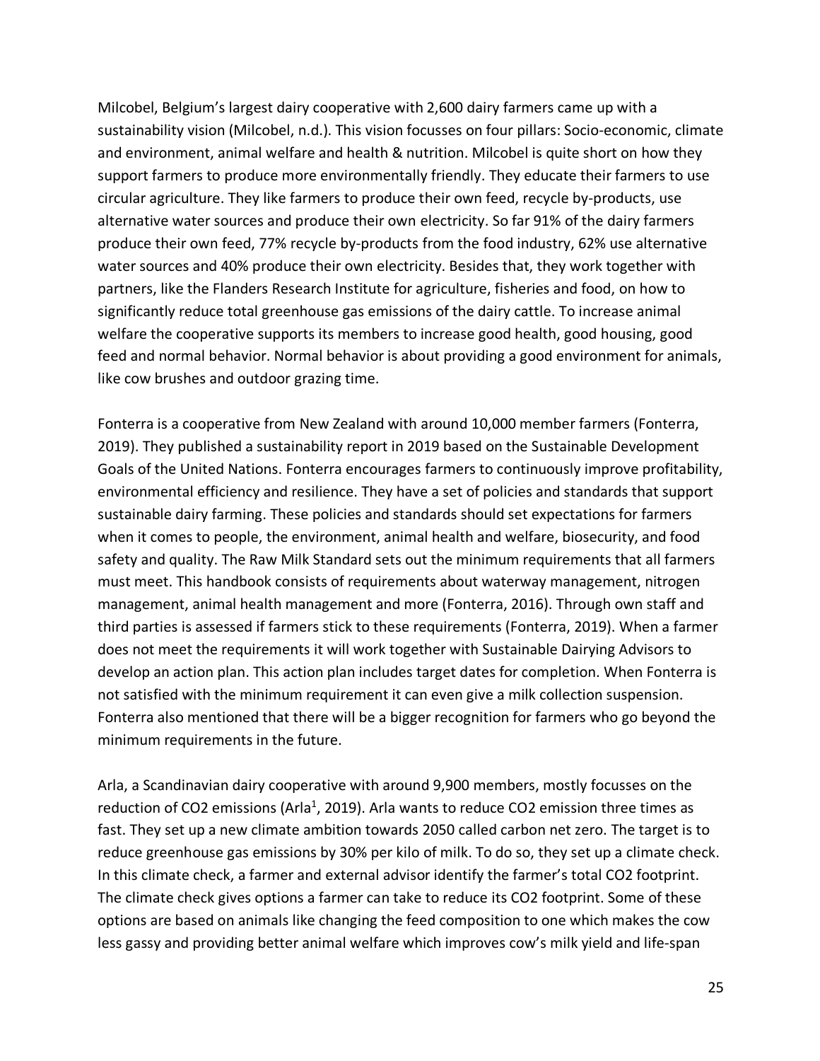Milcobel, Belgium's largest dairy cooperative with 2,600 dairy farmers came up with a sustainability vision (Milcobel, n.d.). This vision focusses on four pillars: Socio-economic, climate and environment, animal welfare and health & nutrition. Milcobel is quite short on how they support farmers to produce more environmentally friendly. They educate their farmers to use circular agriculture. They like farmers to produce their own feed, recycle by-products, use alternative water sources and produce their own electricity. So far 91% of the dairy farmers produce their own feed, 77% recycle by-products from the food industry, 62% use alternative water sources and 40% produce their own electricity. Besides that, they work together with partners, like the Flanders Research Institute for agriculture, fisheries and food, on how to significantly reduce total greenhouse gas emissions of the dairy cattle. To increase animal welfare the cooperative supports its members to increase good health, good housing, good feed and normal behavior. Normal behavior is about providing a good environment for animals, like cow brushes and outdoor grazing time.

Fonterra is a cooperative from New Zealand with around 10,000 member farmers (Fonterra, 2019). They published a sustainability report in 2019 based on the Sustainable Development Goals of the United Nations. Fonterra encourages farmers to continuously improve profitability, environmental efficiency and resilience. They have a set of policies and standards that support sustainable dairy farming. These policies and standards should set expectations for farmers when it comes to people, the environment, animal health and welfare, biosecurity, and food safety and quality. The Raw Milk Standard sets out the minimum requirements that all farmers must meet. This handbook consists of requirements about waterway management, nitrogen management, animal health management and more (Fonterra, 2016). Through own staff and third parties is assessed if farmers stick to these requirements (Fonterra, 2019). When a farmer does not meet the requirements it will work together with Sustainable Dairying Advisors to develop an action plan. This action plan includes target dates for completion. When Fonterra is not satisfied with the minimum requirement it can even give a milk collection suspension. Fonterra also mentioned that there will be a bigger recognition for farmers who go beyond the minimum requirements in the future.

Arla, a Scandinavian dairy cooperative with around 9,900 members, mostly focusses on the reduction of CO2 emissions (Arla<sup>1</sup>, 2019). Arla wants to reduce CO2 emission three times as fast. They set up a new climate ambition towards 2050 called carbon net zero. The target is to reduce greenhouse gas emissions by 30% per kilo of milk. To do so, they set up a climate check. In this climate check, a farmer and external advisor identify the farmer's total CO2 footprint. The climate check gives options a farmer can take to reduce its CO2 footprint. Some of these options are based on animals like changing the feed composition to one which makes the cow less gassy and providing better animal welfare which improves cow's milk yield and life-span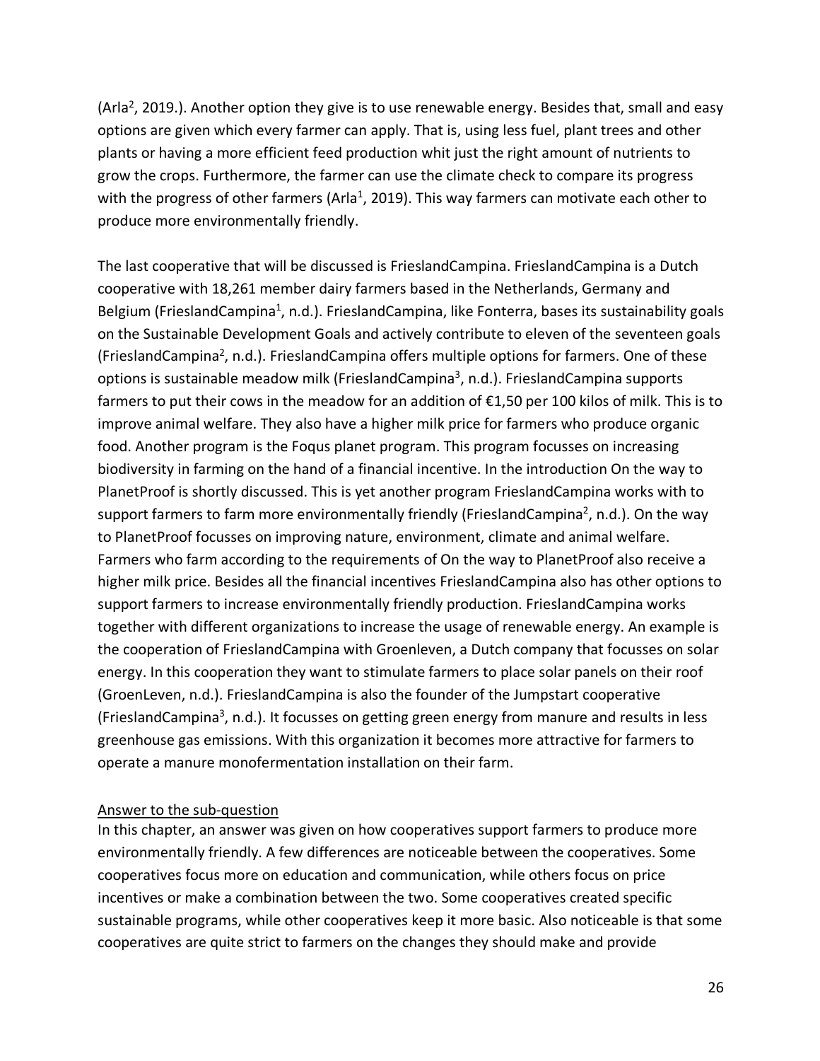(Arla<sup>2</sup>, 2019.). Another option they give is to use renewable energy. Besides that, small and easy options are given which every farmer can apply. That is, using less fuel, plant trees and other plants or having a more efficient feed production whit just the right amount of nutrients to grow the crops. Furthermore, the farmer can use the climate check to compare its progress with the progress of other farmers (Arla<sup>1</sup>, 2019). This way farmers can motivate each other to produce more environmentally friendly.

The last cooperative that will be discussed is FrieslandCampina. FrieslandCampina is a Dutch cooperative with 18,261 member dairy farmers based in the Netherlands, Germany and Belgium (FrieslandCampina<sup>1</sup>, n.d.). FrieslandCampina, like Fonterra, bases its sustainability goals on the Sustainable Development Goals and actively contribute to eleven of the seventeen goals (FrieslandCampina<sup>2</sup>, n.d.). FrieslandCampina offers multiple options for farmers. One of these options is sustainable meadow milk (FrieslandCampina<sup>3</sup>, n.d.). FrieslandCampina supports farmers to put their cows in the meadow for an addition of €1,50 per 100 kilos of milk. This is to improve animal welfare. They also have a higher milk price for farmers who produce organic food. Another program is the Foqus planet program. This program focusses on increasing biodiversity in farming on the hand of a financial incentive. In the introduction On the way to PlanetProof is shortly discussed. This is yet another program FrieslandCampina works with to support farmers to farm more environmentally friendly (FrieslandCampina<sup>2</sup>, n.d.). On the way to PlanetProof focusses on improving nature, environment, climate and animal welfare. Farmers who farm according to the requirements of On the way to PlanetProof also receive a higher milk price. Besides all the financial incentives FrieslandCampina also has other options to support farmers to increase environmentally friendly production. FrieslandCampina works together with different organizations to increase the usage of renewable energy. An example is the cooperation of FrieslandCampina with Groenleven, a Dutch company that focusses on solar energy. In this cooperation they want to stimulate farmers to place solar panels on their roof (GroenLeven, n.d.). FrieslandCampina is also the founder of the Jumpstart cooperative (FrieslandCampina<sup>3</sup>, n.d.). It focusses on getting green energy from manure and results in less greenhouse gas emissions. With this organization it becomes more attractive for farmers to operate a manure monofermentation installation on their farm.

## Answer to the sub-question

In this chapter, an answer was given on how cooperatives support farmers to produce more environmentally friendly. A few differences are noticeable between the cooperatives. Some cooperatives focus more on education and communication, while others focus on price incentives or make a combination between the two. Some cooperatives created specific sustainable programs, while other cooperatives keep it more basic. Also noticeable is that some cooperatives are quite strict to farmers on the changes they should make and provide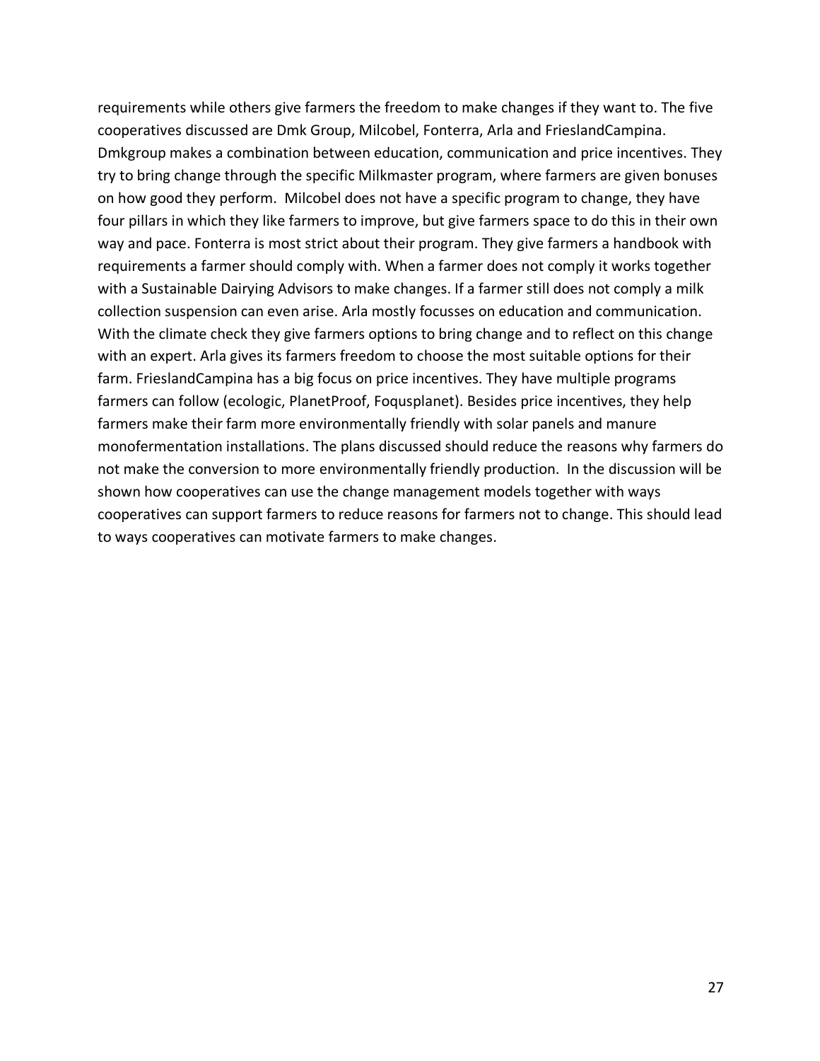requirements while others give farmers the freedom to make changes if they want to. The five cooperatives discussed are Dmk Group, Milcobel, Fonterra, Arla and FrieslandCampina. Dmkgroup makes a combination between education, communication and price incentives. They try to bring change through the specific Milkmaster program, where farmers are given bonuses on how good they perform. Milcobel does not have a specific program to change, they have four pillars in which they like farmers to improve, but give farmers space to do this in their own way and pace. Fonterra is most strict about their program. They give farmers a handbook with requirements a farmer should comply with. When a farmer does not comply it works together with a Sustainable Dairying Advisors to make changes. If a farmer still does not comply a milk collection suspension can even arise. Arla mostly focusses on education and communication. With the climate check they give farmers options to bring change and to reflect on this change with an expert. Arla gives its farmers freedom to choose the most suitable options for their farm. FrieslandCampina has a big focus on price incentives. They have multiple programs farmers can follow (ecologic, PlanetProof, Foqusplanet). Besides price incentives, they help farmers make their farm more environmentally friendly with solar panels and manure monofermentation installations. The plans discussed should reduce the reasons why farmers do not make the conversion to more environmentally friendly production. In the discussion will be shown how cooperatives can use the change management models together with ways cooperatives can support farmers to reduce reasons for farmers not to change. This should lead to ways cooperatives can motivate farmers to make changes.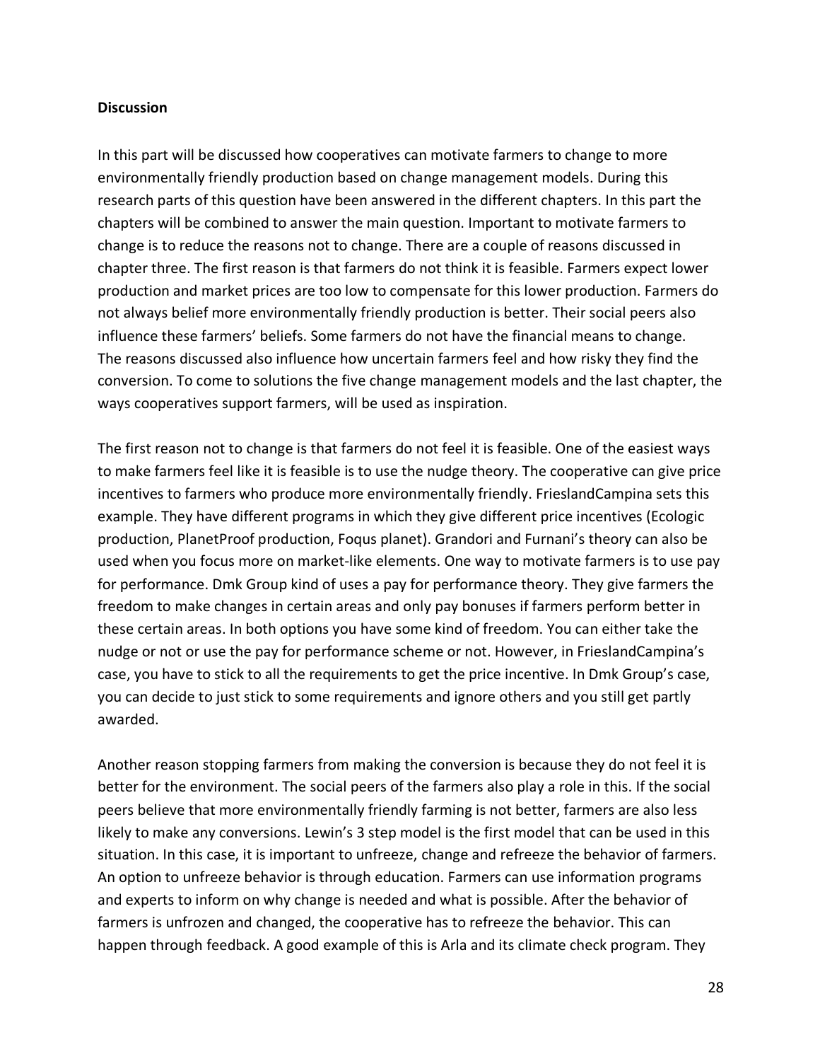#### **Discussion**

In this part will be discussed how cooperatives can motivate farmers to change to more environmentally friendly production based on change management models. During this research parts of this question have been answered in the different chapters. In this part the chapters will be combined to answer the main question. Important to motivate farmers to change is to reduce the reasons not to change. There are a couple of reasons discussed in chapter three. The first reason is that farmers do not think it is feasible. Farmers expect lower production and market prices are too low to compensate for this lower production. Farmers do not always belief more environmentally friendly production is better. Their social peers also influence these farmers' beliefs. Some farmers do not have the financial means to change. The reasons discussed also influence how uncertain farmers feel and how risky they find the conversion. To come to solutions the five change management models and the last chapter, the ways cooperatives support farmers, will be used as inspiration.

The first reason not to change is that farmers do not feel it is feasible. One of the easiest ways to make farmers feel like it is feasible is to use the nudge theory. The cooperative can give price incentives to farmers who produce more environmentally friendly. FrieslandCampina sets this example. They have different programs in which they give different price incentives (Ecologic production, PlanetProof production, Foqus planet). Grandori and Furnani's theory can also be used when you focus more on market-like elements. One way to motivate farmers is to use pay for performance. Dmk Group kind of uses a pay for performance theory. They give farmers the freedom to make changes in certain areas and only pay bonuses if farmers perform better in these certain areas. In both options you have some kind of freedom. You can either take the nudge or not or use the pay for performance scheme or not. However, in FrieslandCampina's case, you have to stick to all the requirements to get the price incentive. In Dmk Group's case, you can decide to just stick to some requirements and ignore others and you still get partly awarded.

Another reason stopping farmers from making the conversion is because they do not feel it is better for the environment. The social peers of the farmers also play a role in this. If the social peers believe that more environmentally friendly farming is not better, farmers are also less likely to make any conversions. Lewin's 3 step model is the first model that can be used in this situation. In this case, it is important to unfreeze, change and refreeze the behavior of farmers. An option to unfreeze behavior is through education. Farmers can use information programs and experts to inform on why change is needed and what is possible. After the behavior of farmers is unfrozen and changed, the cooperative has to refreeze the behavior. This can happen through feedback. A good example of this is Arla and its climate check program. They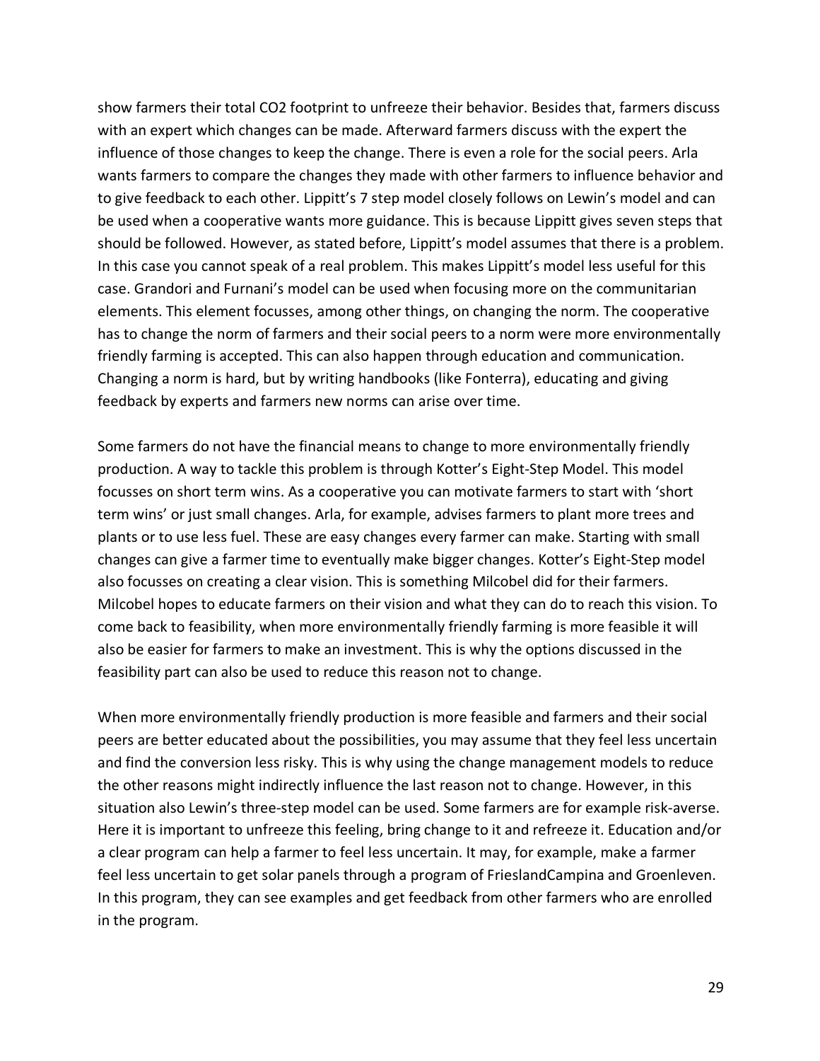show farmers their total CO2 footprint to unfreeze their behavior. Besides that, farmers discuss with an expert which changes can be made. Afterward farmers discuss with the expert the influence of those changes to keep the change. There is even a role for the social peers. Arla wants farmers to compare the changes they made with other farmers to influence behavior and to give feedback to each other. Lippitt's 7 step model closely follows on Lewin's model and can be used when a cooperative wants more guidance. This is because Lippitt gives seven steps that should be followed. However, as stated before, Lippitt's model assumes that there is a problem. In this case you cannot speak of a real problem. This makes Lippitt's model less useful for this case. Grandori and Furnani's model can be used when focusing more on the communitarian elements. This element focusses, among other things, on changing the norm. The cooperative has to change the norm of farmers and their social peers to a norm were more environmentally friendly farming is accepted. This can also happen through education and communication. Changing a norm is hard, but by writing handbooks (like Fonterra), educating and giving feedback by experts and farmers new norms can arise over time.

Some farmers do not have the financial means to change to more environmentally friendly production. A way to tackle this problem is through Kotter's Eight-Step Model. This model focusses on short term wins. As a cooperative you can motivate farmers to start with 'short term wins' or just small changes. Arla, for example, advises farmers to plant more trees and plants or to use less fuel. These are easy changes every farmer can make. Starting with small changes can give a farmer time to eventually make bigger changes. Kotter's Eight-Step model also focusses on creating a clear vision. This is something Milcobel did for their farmers. Milcobel hopes to educate farmers on their vision and what they can do to reach this vision. To come back to feasibility, when more environmentally friendly farming is more feasible it will also be easier for farmers to make an investment. This is why the options discussed in the feasibility part can also be used to reduce this reason not to change.

When more environmentally friendly production is more feasible and farmers and their social peers are better educated about the possibilities, you may assume that they feel less uncertain and find the conversion less risky. This is why using the change management models to reduce the other reasons might indirectly influence the last reason not to change. However, in this situation also Lewin's three-step model can be used. Some farmers are for example risk-averse. Here it is important to unfreeze this feeling, bring change to it and refreeze it. Education and/or a clear program can help a farmer to feel less uncertain. It may, for example, make a farmer feel less uncertain to get solar panels through a program of FrieslandCampina and Groenleven. In this program, they can see examples and get feedback from other farmers who are enrolled in the program.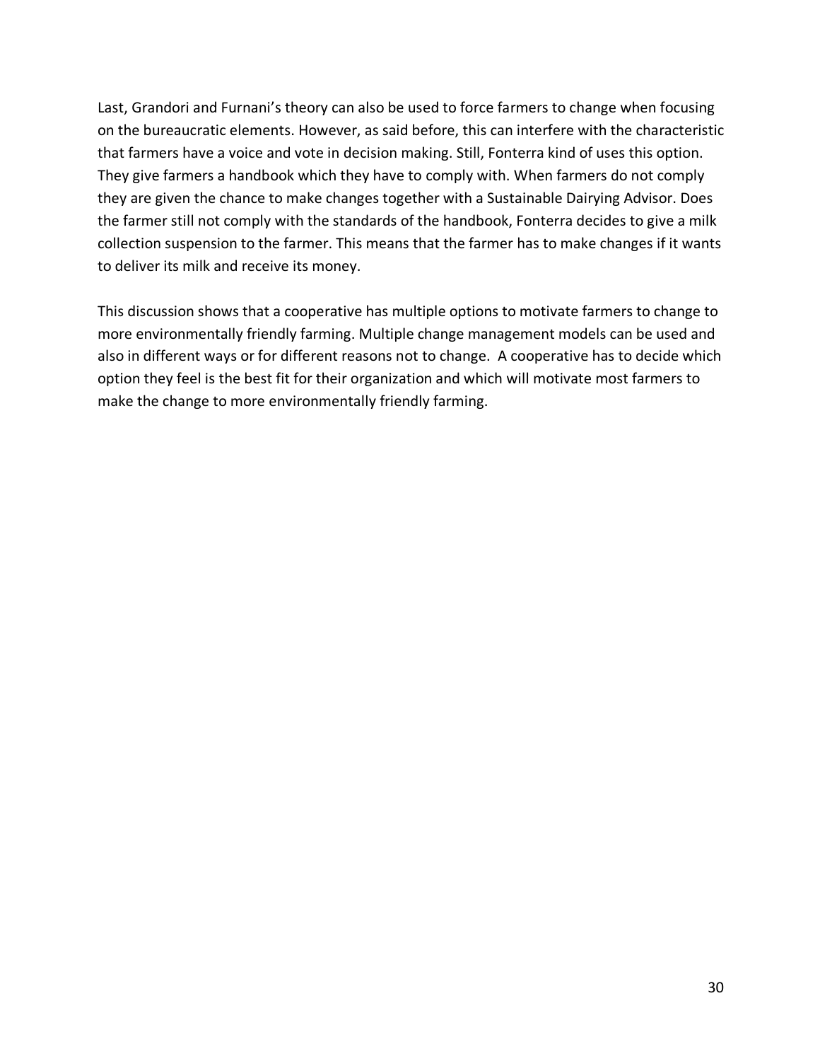Last, Grandori and Furnani's theory can also be used to force farmers to change when focusing on the bureaucratic elements. However, as said before, this can interfere with the characteristic that farmers have a voice and vote in decision making. Still, Fonterra kind of uses this option. They give farmers a handbook which they have to comply with. When farmers do not comply they are given the chance to make changes together with a Sustainable Dairying Advisor. Does the farmer still not comply with the standards of the handbook, Fonterra decides to give a milk collection suspension to the farmer. This means that the farmer has to make changes if it wants to deliver its milk and receive its money.

This discussion shows that a cooperative has multiple options to motivate farmers to change to more environmentally friendly farming. Multiple change management models can be used and also in different ways or for different reasons not to change. A cooperative has to decide which option they feel is the best fit for their organization and which will motivate most farmers to make the change to more environmentally friendly farming.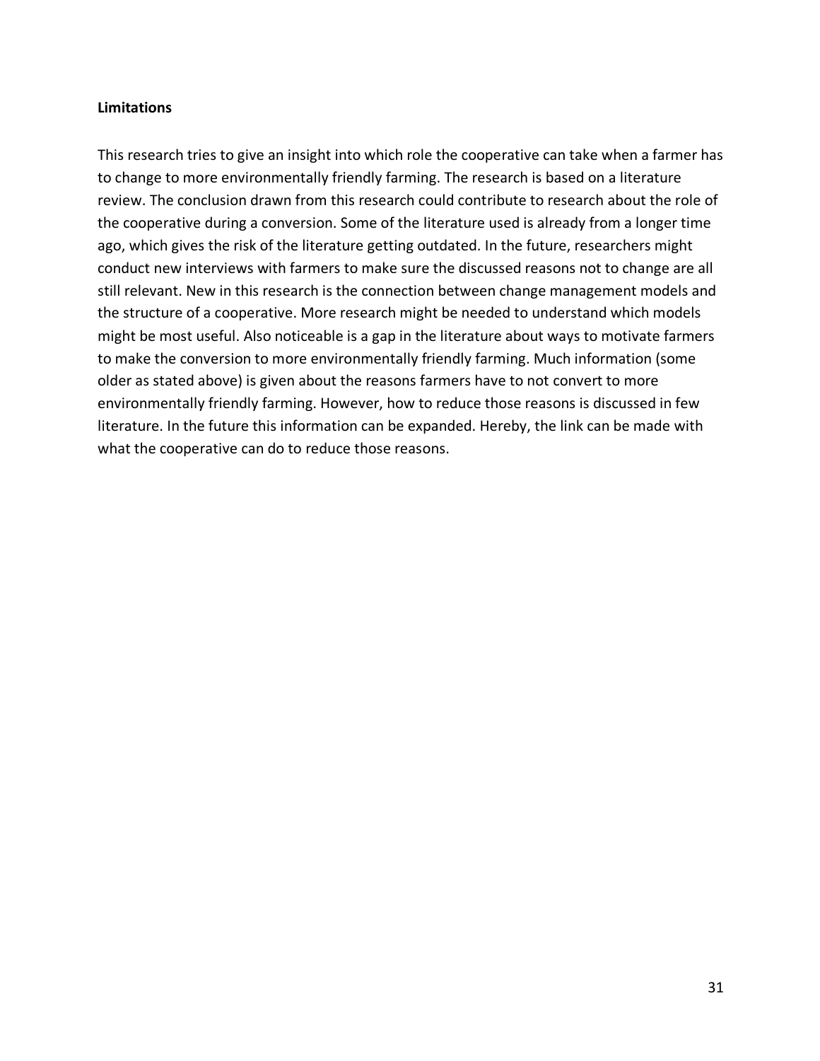## **Limitations**

This research tries to give an insight into which role the cooperative can take when a farmer has to change to more environmentally friendly farming. The research is based on a literature review. The conclusion drawn from this research could contribute to research about the role of the cooperative during a conversion. Some of the literature used is already from a longer time ago, which gives the risk of the literature getting outdated. In the future, researchers might conduct new interviews with farmers to make sure the discussed reasons not to change are all still relevant. New in this research is the connection between change management models and the structure of a cooperative. More research might be needed to understand which models might be most useful. Also noticeable is a gap in the literature about ways to motivate farmers to make the conversion to more environmentally friendly farming. Much information (some older as stated above) is given about the reasons farmers have to not convert to more environmentally friendly farming. However, how to reduce those reasons is discussed in few literature. In the future this information can be expanded. Hereby, the link can be made with what the cooperative can do to reduce those reasons.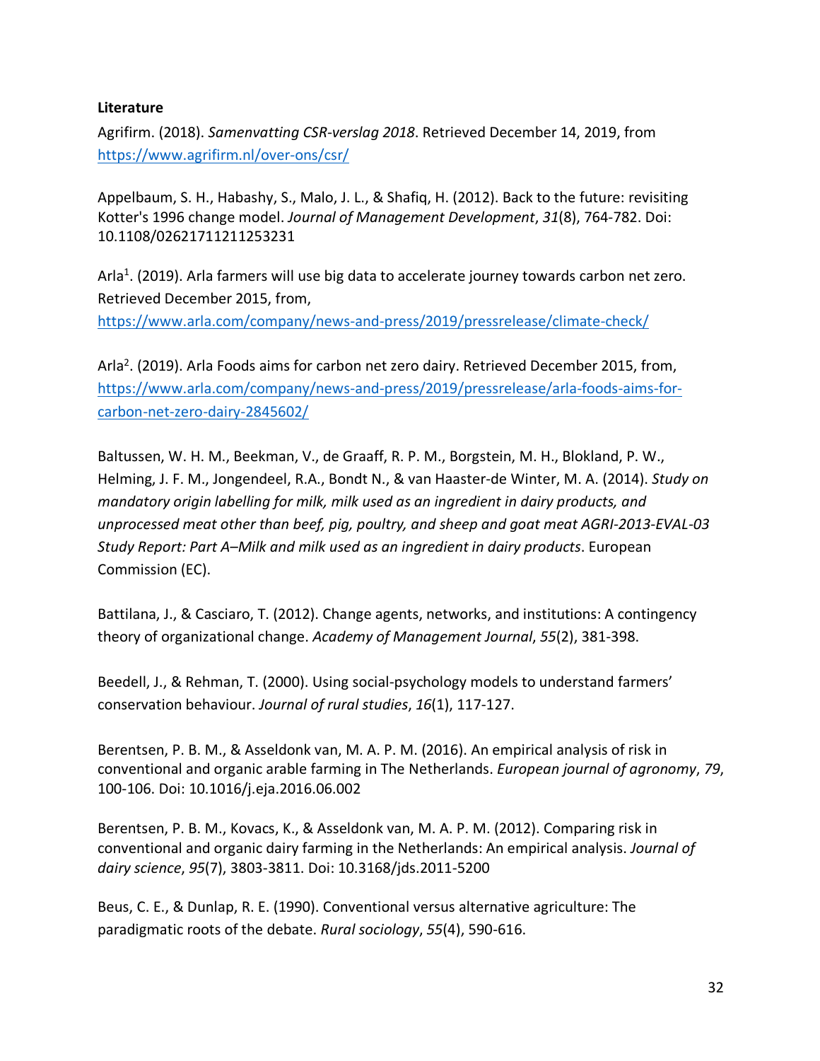## **Literature**

Agrifirm. (2018). *Samenvatting CSR-verslag 2018*. Retrieved December 14, 2019, from https://www.agrifirm.nl/over-ons/csr/

Appelbaum, S. H., Habashy, S., Malo, J. L., & Shafiq, H. (2012). Back to the future: revisiting Kotter's 1996 change model. *Journal of Management Development*, *31*(8), 764-782. Doi: 10.1108/02621711211253231

Arla<sup>1</sup>. (2019). Arla farmers will use big data to accelerate journey towards carbon net zero. Retrieved December 2015, from,

https://www.arla.com/company/news-and-press/2019/pressrelease/climate-check/

Arla<sup>2</sup>. (2019). Arla Foods aims for carbon net zero dairy. Retrieved December 2015, from, https://www.arla.com/company/news-and-press/2019/pressrelease/arla-foods-aims-forcarbon-net-zero-dairy-2845602/

Baltussen, W. H. M., Beekman, V., de Graaff, R. P. M., Borgstein, M. H., Blokland, P. W., Helming, J. F. M., Jongendeel, R.A., Bondt N., & van Haaster-de Winter, M. A. (2014). *Study on mandatory origin labelling for milk, milk used as an ingredient in dairy products, and unprocessed meat other than beef, pig, poultry, and sheep and goat meat AGRI-2013-EVAL-03 Study Report: Part A–Milk and milk used as an ingredient in dairy products*. European Commission (EC).

Battilana, J., & Casciaro, T. (2012). Change agents, networks, and institutions: A contingency theory of organizational change. *Academy of Management Journal*, *55*(2), 381-398.

Beedell, J., & Rehman, T. (2000). Using social-psychology models to understand farmers' conservation behaviour. *Journal of rural studies*, *16*(1), 117-127.

Berentsen, P. B. M., & Asseldonk van, M. A. P. M. (2016). An empirical analysis of risk in conventional and organic arable farming in The Netherlands. *European journal of agronomy*, *79*, 100-106. Doi: 10.1016/j.eja.2016.06.002

Berentsen, P. B. M., Kovacs, K., & Asseldonk van, M. A. P. M. (2012). Comparing risk in conventional and organic dairy farming in the Netherlands: An empirical analysis. *Journal of dairy science*, *95*(7), 3803-3811. Doi: 10.3168/jds.2011-5200

Beus, C. E., & Dunlap, R. E. (1990). Conventional versus alternative agriculture: The paradigmatic roots of the debate. *Rural sociology*, *55*(4), 590-616.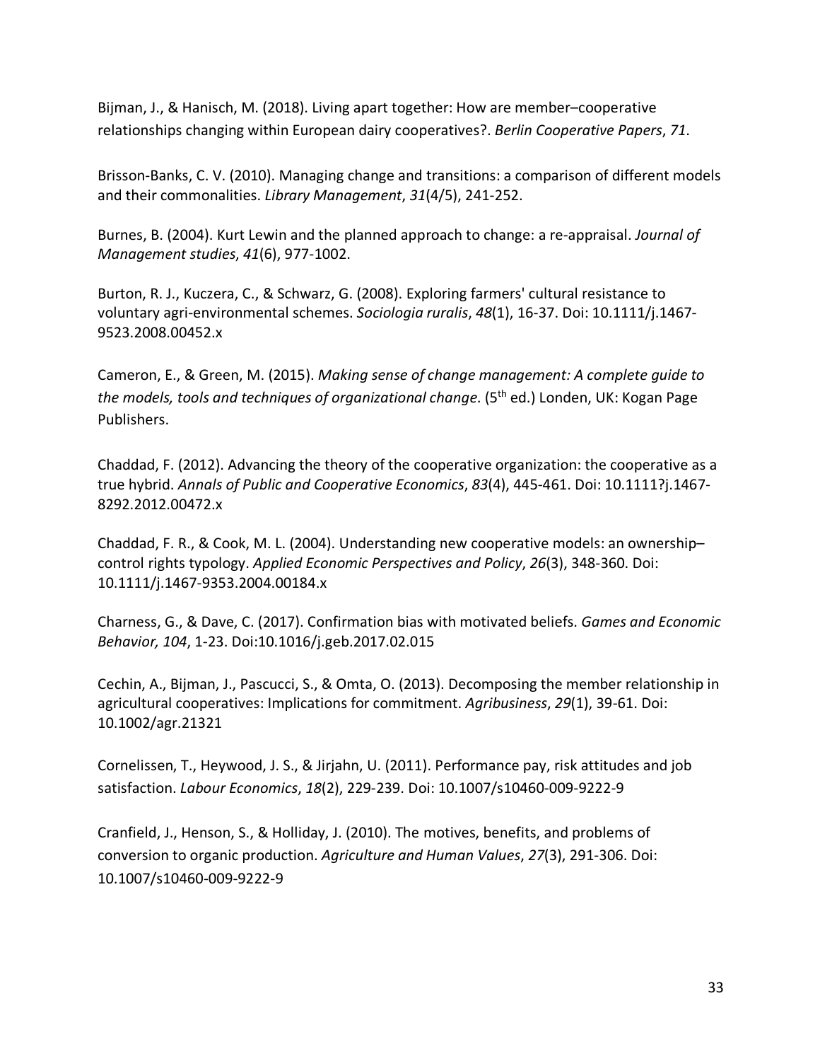Bijman, J., & Hanisch, M. (2018). Living apart together: How are member–cooperative relationships changing within European dairy cooperatives?. *Berlin Cooperative Papers*, *71*.

Brisson-Banks, C. V. (2010). Managing change and transitions: a comparison of different models and their commonalities. *Library Management*, *31*(4/5), 241-252.

Burnes, B. (2004). Kurt Lewin and the planned approach to change: a re-appraisal. *Journal of Management studies*, *41*(6), 977-1002.

Burton, R. J., Kuczera, C., & Schwarz, G. (2008). Exploring farmers' cultural resistance to voluntary agri-environmental schemes. *Sociologia ruralis*, *48*(1), 16-37. Doi: 10.1111/j.1467- 9523.2008.00452.x

Cameron, E., & Green, M. (2015). *Making sense of change management: A complete guide to the models, tools and techniques of organizational change*. (5<sup>th</sup> ed.) Londen, UK: Kogan Page Publishers.

Chaddad, F. (2012). Advancing the theory of the cooperative organization: the cooperative as a true hybrid. *Annals of Public and Cooperative Economics*, *83*(4), 445-461. Doi: 10.1111?j.1467- 8292.2012.00472.x

Chaddad, F. R., & Cook, M. L. (2004). Understanding new cooperative models: an ownership– control rights typology. *Applied Economic Perspectives and Policy*, *26*(3), 348-360. Doi: 10.1111/j.1467-9353.2004.00184.x

Charness, G., & Dave, C. (2017). Confirmation bias with motivated beliefs. *Games and Economic Behavior, 104*, 1-23. Doi:10.1016/j.geb.2017.02.015

Cechin, A., Bijman, J., Pascucci, S., & Omta, O. (2013). Decomposing the member relationship in agricultural cooperatives: Implications for commitment. *Agribusiness*, *29*(1), 39-61. Doi: 10.1002/agr.21321

Cornelissen, T., Heywood, J. S., & Jirjahn, U. (2011). Performance pay, risk attitudes and job satisfaction. *Labour Economics*, *18*(2), 229-239. Doi: 10.1007/s10460-009-9222-9

Cranfield, J., Henson, S., & Holliday, J. (2010). The motives, benefits, and problems of conversion to organic production. *Agriculture and Human Values*, *27*(3), 291-306. Doi: 10.1007/s10460-009-9222-9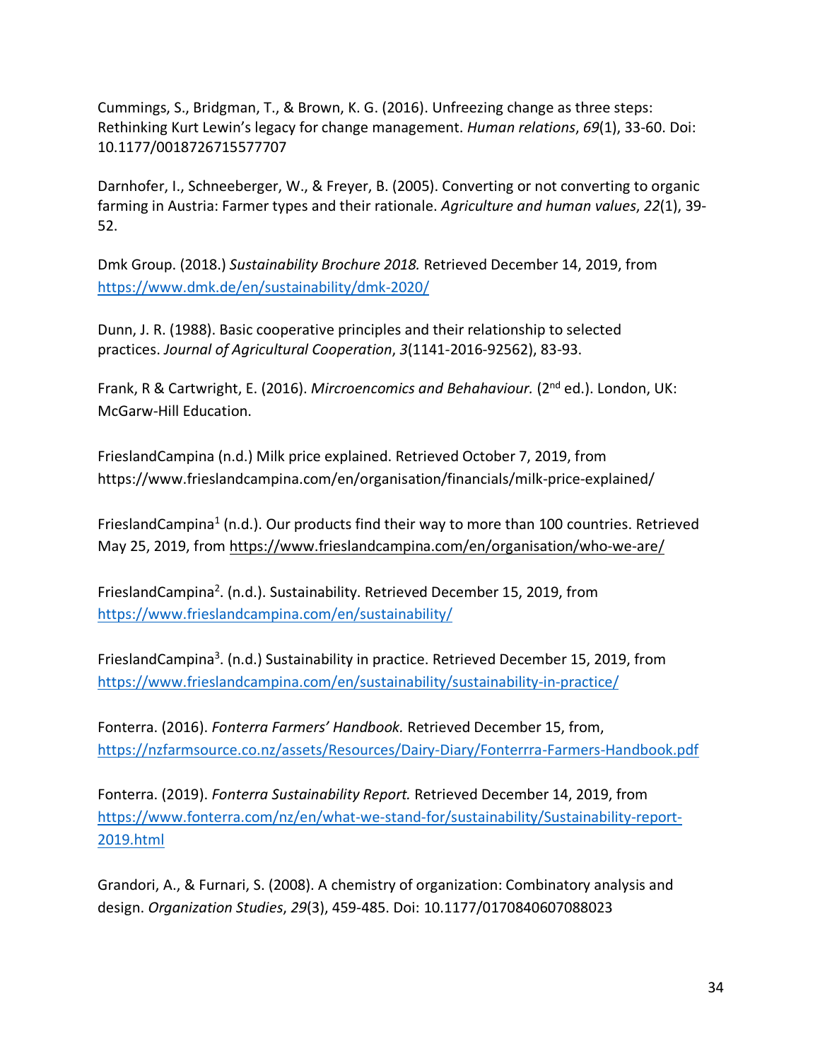Cummings, S., Bridgman, T., & Brown, K. G. (2016). Unfreezing change as three steps: Rethinking Kurt Lewin's legacy for change management. *Human relations*, *69*(1), 33-60. Doi: 10.1177/0018726715577707

Darnhofer, I., Schneeberger, W., & Freyer, B. (2005). Converting or not converting to organic farming in Austria: Farmer types and their rationale. *Agriculture and human values*, *22*(1), 39- 52.

Dmk Group. (2018.) *Sustainability Brochure 2018.* Retrieved December 14, 2019, from https://www.dmk.de/en/sustainability/dmk-2020/

Dunn, J. R. (1988). Basic cooperative principles and their relationship to selected practices. *Journal of Agricultural Cooperation*, *3*(1141-2016-92562), 83-93.

Frank, R & Cartwright, E. (2016). *Mircroencomics and Behahaviour.* (2<sup>nd</sup> ed.). London, UK: McGarw-Hill Education.

FrieslandCampina (n.d.) Milk price explained. Retrieved October 7, 2019, from https://www.frieslandcampina.com/en/organisation/financials/milk-price-explained/

FrieslandCampina<sup>1</sup> (n.d.). Our products find their way to more than 100 countries. Retrieved May 25, 2019, from https://www.frieslandcampina.com/en/organisation/who-we-are/

FrieslandCampina<sup>2</sup>. (n.d.). Sustainability. Retrieved December 15, 2019, from https://www.frieslandcampina.com/en/sustainability/

FrieslandCampina<sup>3</sup>. (n.d.) Sustainability in practice. Retrieved December 15, 2019, from https://www.frieslandcampina.com/en/sustainability/sustainability-in-practice/

Fonterra. (2016). *Fonterra Farmers' Handbook.* Retrieved December 15, from, https://nzfarmsource.co.nz/assets/Resources/Dairy-Diary/Fonterrra-Farmers-Handbook.pdf

Fonterra. (2019). *Fonterra Sustainability Report.* Retrieved December 14, 2019, from https://www.fonterra.com/nz/en/what-we-stand-for/sustainability/Sustainability-report-2019.html

Grandori, A., & Furnari, S. (2008). A chemistry of organization: Combinatory analysis and design. *Organization Studies*, *29*(3), 459-485. Doi: 10.1177/0170840607088023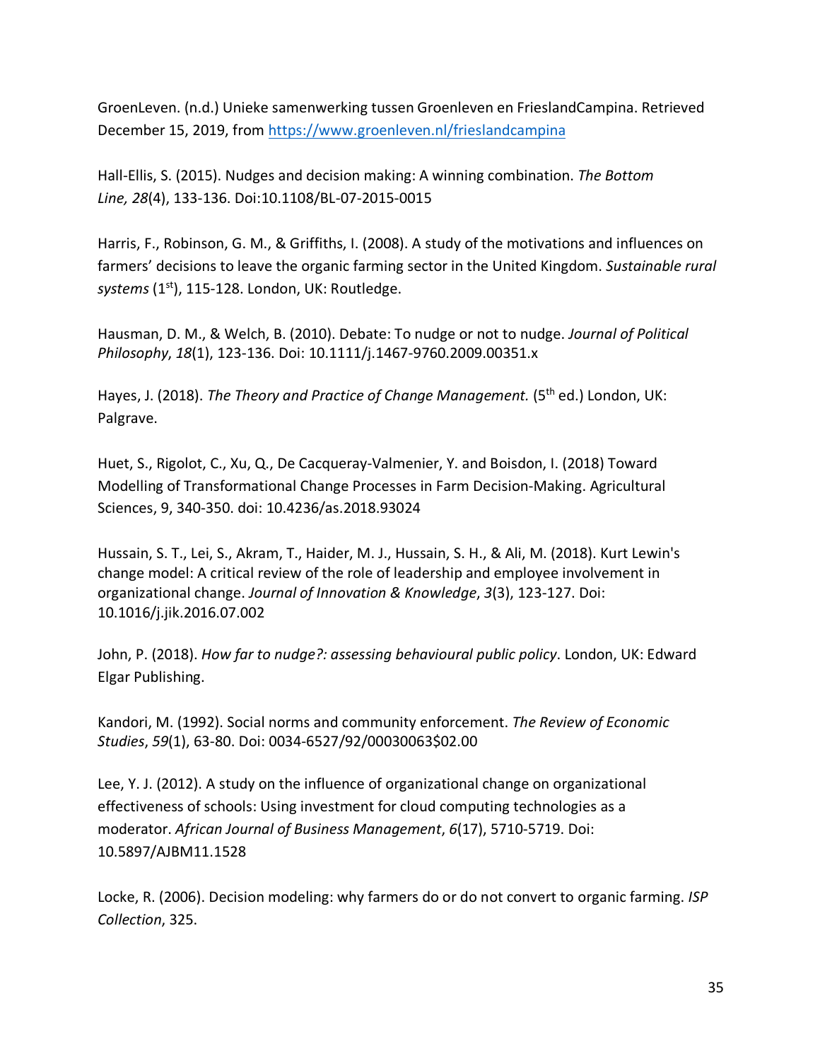GroenLeven. (n.d.) Unieke samenwerking tussen Groenleven en FrieslandCampina. Retrieved December 15, 2019, from https://www.groenleven.nl/frieslandcampina

Hall-Ellis, S. (2015). Nudges and decision making: A winning combination. *The Bottom Line, 28*(4), 133-136. Doi:10.1108/BL-07-2015-0015

Harris, F., Robinson, G. M., & Griffiths, I. (2008). A study of the motivations and influences on farmers' decisions to leave the organic farming sector in the United Kingdom. *Sustainable rural systems* (1st), 115-128. London, UK: Routledge.

Hausman, D. M., & Welch, B. (2010). Debate: To nudge or not to nudge. *Journal of Political Philosophy*, *18*(1), 123-136. Doi: 10.1111/j.1467-9760.2009.00351.x

Hayes, J. (2018). *The Theory and Practice of Change Management*. (5<sup>th</sup> ed.) London, UK: Palgrave.

Huet, S., Rigolot, C., Xu, Q., De Cacqueray-Valmenier, Y. and Boisdon, I. (2018) Toward Modelling of Transformational Change Processes in Farm Decision-Making. Agricultural Sciences, 9, 340-350. doi: 10.4236/as.2018.93024

Hussain, S. T., Lei, S., Akram, T., Haider, M. J., Hussain, S. H., & Ali, M. (2018). Kurt Lewin's change model: A critical review of the role of leadership and employee involvement in organizational change. *Journal of Innovation & Knowledge*, *3*(3), 123-127. Doi: 10.1016/j.jik.2016.07.002

John, P. (2018). *How far to nudge?: assessing behavioural public policy*. London, UK: Edward Elgar Publishing.

Kandori, M. (1992). Social norms and community enforcement. *The Review of Economic Studies*, *59*(1), 63-80. Doi: 0034-6527/92/00030063\$02.00

Lee, Y. J. (2012). A study on the influence of organizational change on organizational effectiveness of schools: Using investment for cloud computing technologies as a moderator. *African Journal of Business Management*, *6*(17), 5710-5719. Doi: 10.5897/AJBM11.1528

Locke, R. (2006). Decision modeling: why farmers do or do not convert to organic farming. *ISP Collection*, 325.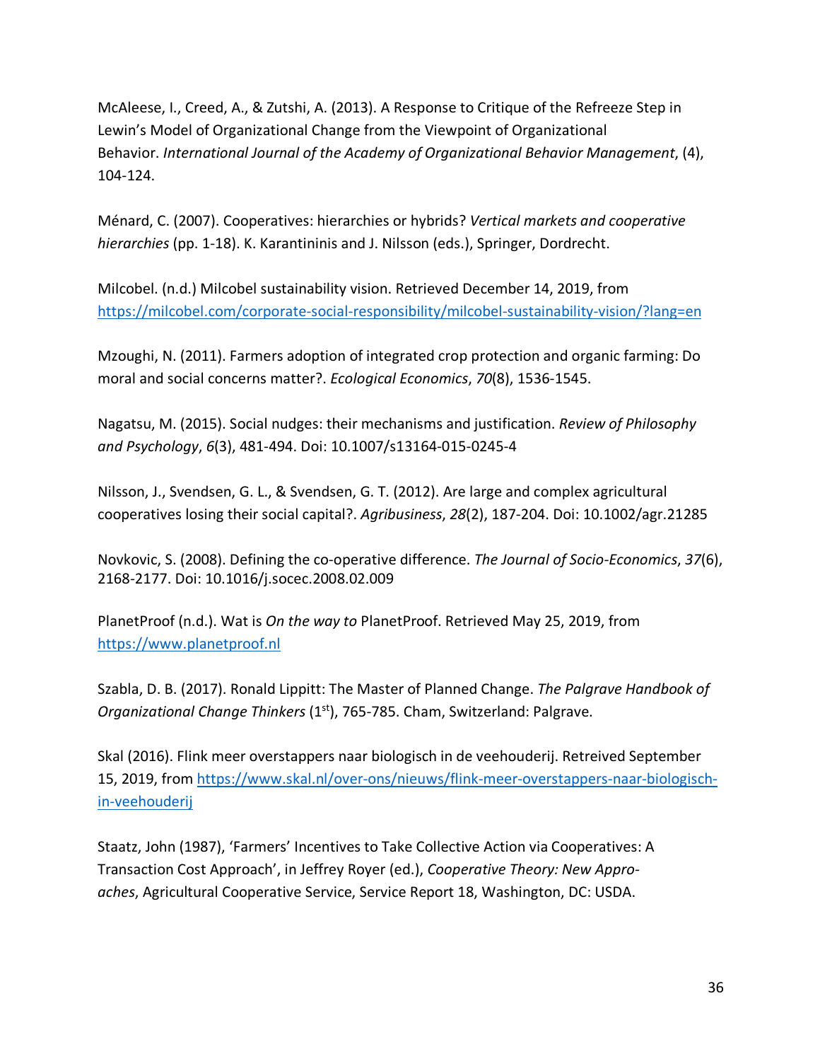McAleese, I., Creed, A., & Zutshi, A. (2013). A Response to Critique of the Refreeze Step in Lewin's Model of Organizational Change from the Viewpoint of Organizational Behavior. *International Journal of the Academy of Organizational Behavior Management*, (4), 104-124.

Ménard, C. (2007). Cooperatives: hierarchies or hybrids? *Vertical markets and cooperative hierarchies* (pp. 1-18). K. Karantininis and J. Nilsson (eds.), Springer, Dordrecht.

Milcobel. (n.d.) Milcobel sustainability vision. Retrieved December 14, 2019, from https://milcobel.com/corporate-social-responsibility/milcobel-sustainability-vision/?lang=en

Mzoughi, N. (2011). Farmers adoption of integrated crop protection and organic farming: Do moral and social concerns matter?. *Ecological Economics*, *70*(8), 1536-1545.

Nagatsu, M. (2015). Social nudges: their mechanisms and justification. *Review of Philosophy and Psychology*, *6*(3), 481-494. Doi: 10.1007/s13164-015-0245-4

Nilsson, J., Svendsen, G. L., & Svendsen, G. T. (2012). Are large and complex agricultural cooperatives losing their social capital?. *Agribusiness*, *28*(2), 187-204. Doi: 10.1002/agr.21285

Novkovic, S. (2008). Defining the co-operative difference. *The Journal of Socio-Economics*, *37*(6), 2168-2177. Doi: 10.1016/j.socec.2008.02.009

PlanetProof (n.d.). Wat is *On the way to* PlanetProof. Retrieved May 25, 2019, from https://www.planetproof.nl

Szabla, D. B. (2017). Ronald Lippitt: The Master of Planned Change. *The Palgrave Handbook of Organizational Change Thinkers* (1st), 765-785. Cham, Switzerland: Palgrave.

Skal (2016). Flink meer overstappers naar biologisch in de veehouderij. Retreived September 15, 2019, from https://www.skal.nl/over-ons/nieuws/flink-meer-overstappers-naar-biologischin-veehouderij

Staatz, John (1987), 'Farmers' Incentives to Take Collective Action via Cooperatives: A Transaction Cost Approach', in Jeffrey Royer (ed.), *Cooperative Theory: New Approaches*, Agricultural Cooperative Service, Service Report 18, Washington, DC: USDA.